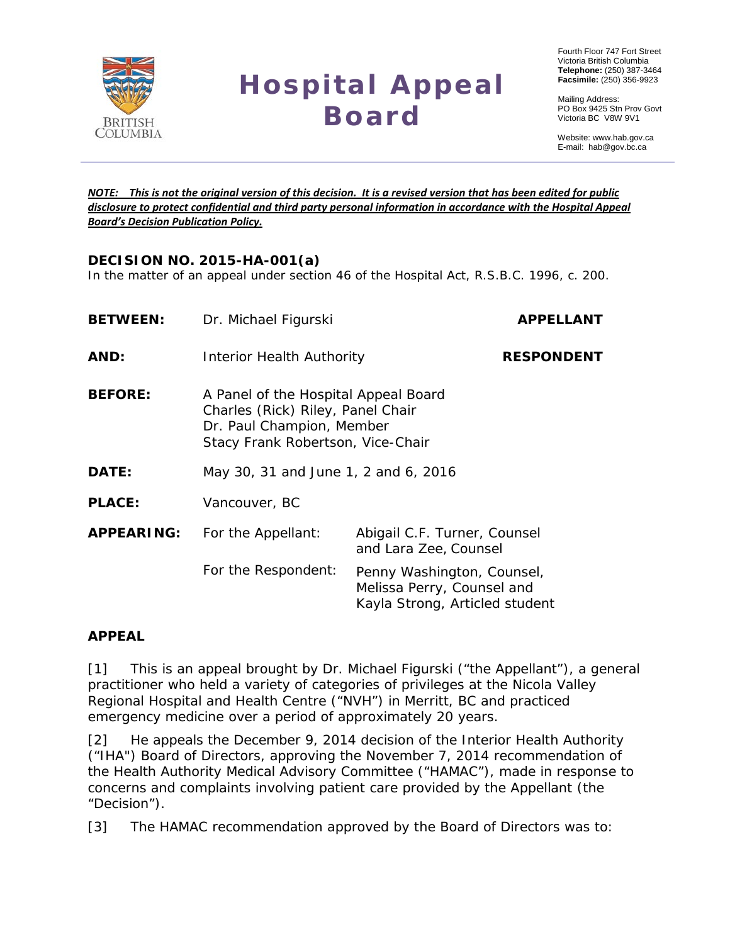

# **Hospital Appeal Board**

 Fourth Floor 747 Fort Street Victoria British Columbia  **Telephone:** (250) 387-3464  **Facsimile:** (250) 356-9923

 Mailing Address: PO Box 9425 Stn Prov Govt Victoria BC V8W 9V1

 Website: www.hab.gov.ca E-mail: hab@gov.bc.ca

#### *NOTE: This is not the original version of this decision. It is a revised version that has been edited for public disclosure to protect confidential and third party personal information in accordance with the Hospital Appeal Board's Decision Publication Policy.*

# **DECISION NO. 2015-HA-001(a)**

In the matter of an appeal under section 46 of the *Hospital Act*, R.S.B.C. 1996, c. 200.

| <b>BETWEEN:</b>   | Dr. Michael Figurski                                                                                                                        |                                                                                            | <b>APPELLANT</b>  |
|-------------------|---------------------------------------------------------------------------------------------------------------------------------------------|--------------------------------------------------------------------------------------------|-------------------|
| AND:              | Interior Health Authority                                                                                                                   |                                                                                            | <b>RESPONDENT</b> |
| <b>BEFORE:</b>    | A Panel of the Hospital Appeal Board<br>Charles (Rick) Riley, Panel Chair<br>Dr. Paul Champion, Member<br>Stacy Frank Robertson, Vice-Chair |                                                                                            |                   |
| DATE:             | May 30, 31 and June 1, 2 and 6, 2016                                                                                                        |                                                                                            |                   |
| <b>PLACE:</b>     | Vancouver, BC                                                                                                                               |                                                                                            |                   |
| <b>APPEARING:</b> | For the Appellant:                                                                                                                          | Abigail C.F. Turner, Counsel<br>and Lara Zee, Counsel                                      |                   |
|                   | For the Respondent:                                                                                                                         | Penny Washington, Counsel,<br>Melissa Perry, Counsel and<br>Kayla Strong, Articled student |                   |

## **APPEAL**

[1] This is an appeal brought by Dr. Michael Figurski ("the Appellant"), a general practitioner who held a variety of categories of privileges at the Nicola Valley Regional Hospital and Health Centre ("NVH") in Merritt, BC and practiced emergency medicine over a period of approximately 20 years.

[2] He appeals the December 9, 2014 decision of the Interior Health Authority ("IHA") Board of Directors, approving the November 7, 2014 recommendation of the Health Authority Medical Advisory Committee ("HAMAC"), made in response to concerns and complaints involving patient care provided by the Appellant (the "Decision").

[3] The HAMAC recommendation approved by the Board of Directors was to: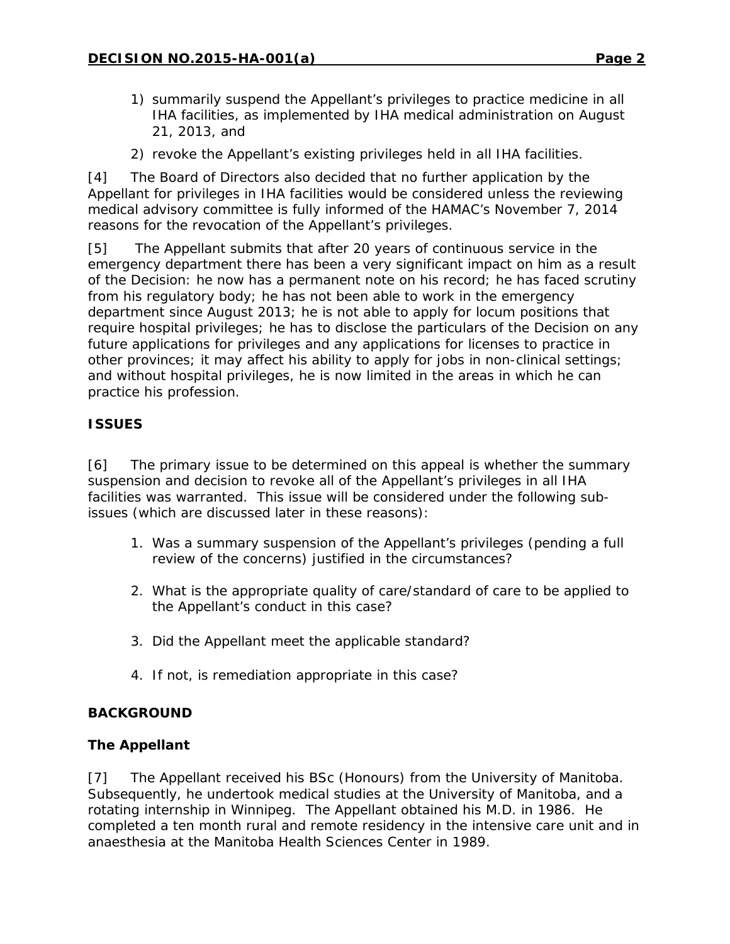- 1) summarily suspend the Appellant's privileges to practice medicine in all IHA facilities, as implemented by IHA medical administration on August 21, 2013, and
- 2) revoke the Appellant's existing privileges held in all IHA facilities.

[4] The Board of Directors also decided that no further application by the Appellant for privileges in IHA facilities would be considered unless the reviewing medical advisory committee is fully informed of the HAMAC's November 7, 2014 reasons for the revocation of the Appellant's privileges.

[5] The Appellant submits that after 20 years of continuous service in the emergency department there has been a very significant impact on him as a result of the Decision: he now has a permanent note on his record; he has faced scrutiny from his regulatory body; he has not been able to work in the emergency department since August 2013; he is not able to apply for locum positions that require hospital privileges; he has to disclose the particulars of the Decision on any future applications for privileges and any applications for licenses to practice in other provinces; it may affect his ability to apply for jobs in non-clinical settings; and without hospital privileges, he is now limited in the areas in which he can practice his profession.

# **ISSUES**

[6] The primary issue to be determined on this appeal is whether the summary suspension and decision to revoke all of the Appellant's privileges in all IHA facilities was warranted. This issue will be considered under the following subissues (which are discussed later in these reasons):

- 1. Was a summary suspension of the Appellant's privileges (pending a full review of the concerns) justified in the circumstances?
- 2. What is the appropriate quality of care/standard of care to be applied to the Appellant's conduct in this case?
- 3. Did the Appellant meet the applicable standard?
- 4. If not, is remediation appropriate in this case?

## **BACKGROUND**

## **The Appellant**

[7] The Appellant received his BSc (Honours) from the University of Manitoba. Subsequently, he undertook medical studies at the University of Manitoba, and a rotating internship in Winnipeg. The Appellant obtained his M.D. in 1986. He completed a ten month rural and remote residency in the intensive care unit and in anaesthesia at the Manitoba Health Sciences Center in 1989.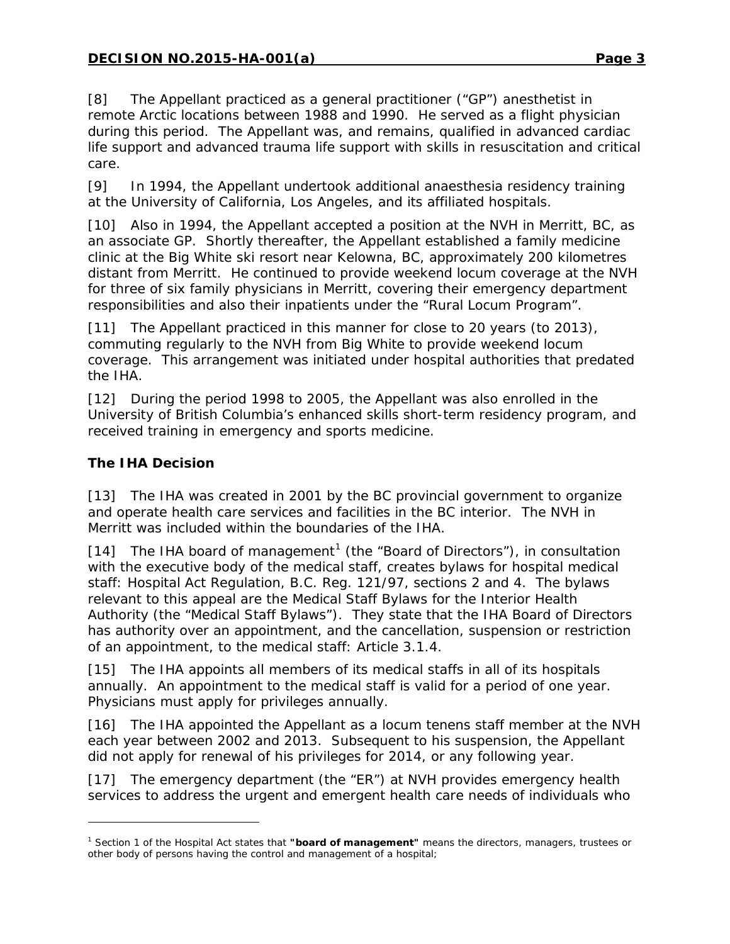[8] The Appellant practiced as a general practitioner ("GP") anesthetist in remote Arctic locations between 1988 and 1990. He served as a flight physician during this period. The Appellant was, and remains, qualified in advanced cardiac life support and advanced trauma life support with skills in resuscitation and critical care.

[9] In 1994, the Appellant undertook additional anaesthesia residency training at the University of California, Los Angeles, and its affiliated hospitals.

[10] Also in 1994, the Appellant accepted a position at the NVH in Merritt, BC, as an associate GP. Shortly thereafter, the Appellant established a family medicine clinic at the Big White ski resort near Kelowna, BC, approximately 200 kilometres distant from Merritt. He continued to provide weekend locum coverage at the NVH for three of six family physicians in Merritt, covering their emergency department responsibilities and also their inpatients under the "Rural Locum Program".

[11] The Appellant practiced in this manner for close to 20 years (to 2013), commuting regularly to the NVH from Big White to provide weekend locum coverage. This arrangement was initiated under hospital authorities that predated the IHA.

[12] During the period 1998 to 2005, the Appellant was also enrolled in the University of British Columbia's enhanced skills short-term residency program, and received training in emergency and sports medicine.

# **The IHA Decision**

l

[13] The IHA was created in 2001 by the BC provincial government to organize and operate health care services and facilities in the BC interior. The NVH in Merritt was included within the boundaries of the IHA.

[[1](#page-2-0)4] The IHA board of management<sup>1</sup> (the "Board of Directors"), in consultation with the executive body of the medical staff, creates bylaws for hospital medical staff: Hospital Act Regulation, B.C. Reg. 121/97, sections 2 and 4. The bylaws relevant to this appeal are the Medical Staff Bylaws for the Interior Health Authority (the "Medical Staff Bylaws"). They state that the IHA Board of Directors has authority over an appointment, and the cancellation, suspension or restriction of an appointment, to the medical staff: Article 3.1.4.

[15] The IHA appoints all members of its medical staffs in all of its hospitals annually. An appointment to the medical staff is valid for a period of one year. Physicians must apply for privileges annually.

[16] The IHA appointed the Appellant as a locum tenens staff member at the NVH each year between 2002 and 2013. Subsequent to his suspension, the Appellant did not apply for renewal of his privileges for 2014, or any following year.

[17] The emergency department (the "ER") at NVH provides emergency health services to address the urgent and emergent health care needs of individuals who

<span id="page-2-0"></span><sup>1</sup> Section 1 of the *Hospital Act* states that **"board of management"** means the directors, managers, trustees or other body of persons having the control and management of a hospital;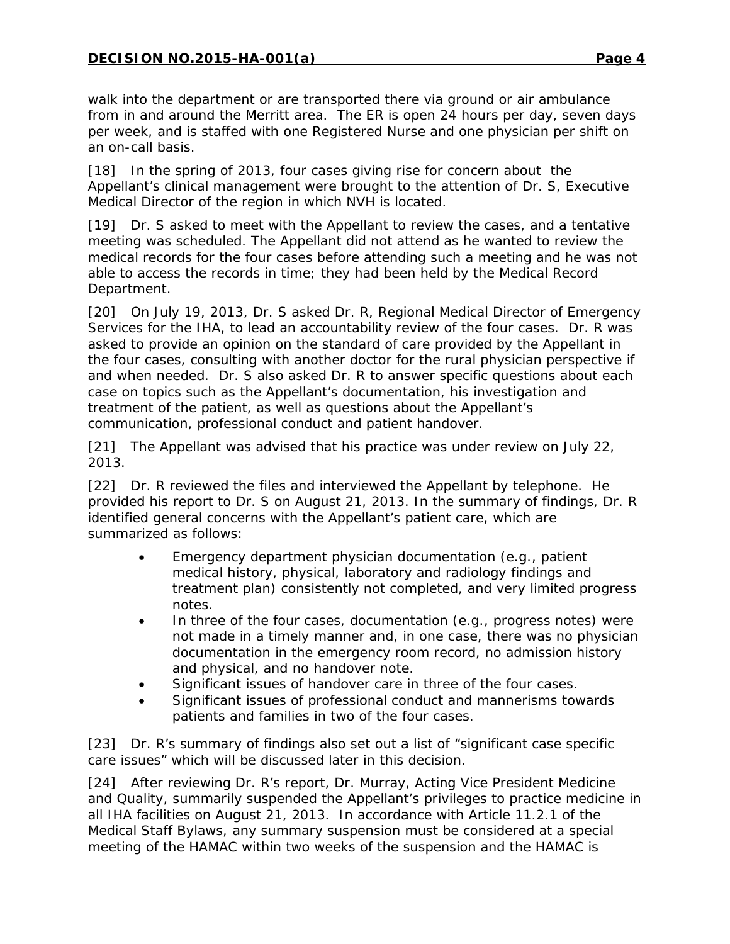walk into the department or are transported there via ground or air ambulance from in and around the Merritt area. The ER is open 24 hours per day, seven days per week, and is staffed with one Registered Nurse and one physician per shift on an on-call basis.

[18] In the spring of 2013, four cases giving rise for concern about the Appellant's clinical management were brought to the attention of Dr. S, Executive Medical Director of the region in which NVH is located.

[19] Dr. S asked to meet with the Appellant to review the cases, and a tentative meeting was scheduled. The Appellant did not attend as he wanted to review the medical records for the four cases before attending such a meeting and he was not able to access the records in time; they had been held by the Medical Record Department.

[20] On July 19, 2013, Dr. S asked Dr. R, Regional Medical Director of Emergency Services for the IHA, to lead an accountability review of the four cases. Dr. R was asked to provide an opinion on the standard of care provided by the Appellant in the four cases, consulting with another doctor for the rural physician perspective if and when needed. Dr. S also asked Dr. R to answer specific questions about each case on topics such as the Appellant's documentation, his investigation and treatment of the patient, as well as questions about the Appellant's communication, professional conduct and patient handover.

[21] The Appellant was advised that his practice was under review on July 22, 2013.

[22] Dr. R reviewed the files and interviewed the Appellant by telephone. He provided his report to Dr. S on August 21, 2013. In the summary of findings, Dr. R identified general concerns with the Appellant's patient care, which are summarized as follows:

- Emergency department physician documentation (e.g., patient medical history, physical, laboratory and radiology findings and treatment plan) consistently not completed, and very limited progress notes.
- In three of the four cases, documentation (e.g., progress notes) were not made in a timely manner and, in one case, there was no physician documentation in the emergency room record, no admission history and physical, and no handover note.
- Significant issues of handover care in three of the four cases.
- Significant issues of professional conduct and mannerisms towards patients and families in two of the four cases.

[23] Dr. R's summary of findings also set out a list of "significant case specific care issues" which will be discussed later in this decision.

[24] After reviewing Dr. R's report, Dr. Murray, Acting Vice President Medicine and Quality, summarily suspended the Appellant's privileges to practice medicine in all IHA facilities on August 21, 2013. In accordance with Article 11.2.1 of the Medical Staff Bylaws, any summary suspension must be considered at a special meeting of the HAMAC within two weeks of the suspension and the HAMAC is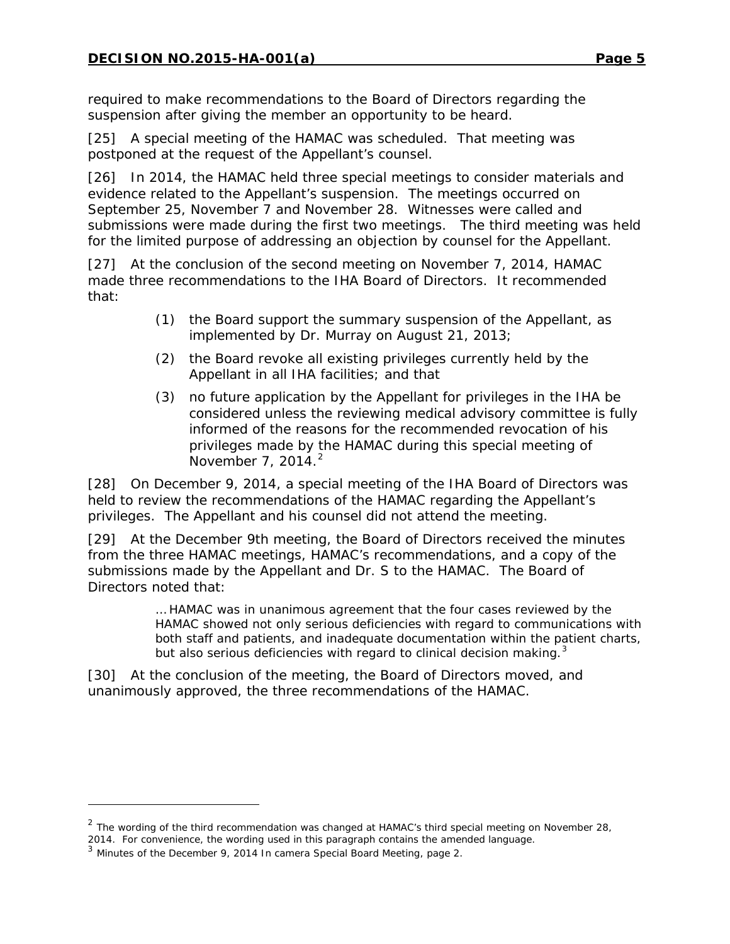required to make recommendations to the Board of Directors regarding the suspension after giving the member an opportunity to be heard.

[25] A special meeting of the HAMAC was scheduled. That meeting was postponed at the request of the Appellant's counsel.

[26] In 2014, the HAMAC held three special meetings to consider materials and evidence related to the Appellant's suspension. The meetings occurred on September 25, November 7 and November 28. Witnesses were called and submissions were made during the first two meetings. The third meeting was held for the limited purpose of addressing an objection by counsel for the Appellant.

[27] At the conclusion of the second meeting on November 7, 2014, HAMAC made three recommendations to the IHA Board of Directors. It recommended that:

- (1) the Board support the summary suspension of the Appellant, as implemented by Dr. Murray on August 21, 2013;
- (2) the Board revoke all existing privileges currently held by the Appellant in all IHA facilities; and that
- (3) no future application by the Appellant for privileges in the IHA be considered unless the reviewing medical advisory committee is fully informed of the reasons for the recommended revocation of his privileges made by the HAMAC during this special meeting of November 7, [2](#page-4-0)014. $^2$

[28] On December 9, 2014, a special meeting of the IHA Board of Directors was held to review the recommendations of the HAMAC regarding the Appellant's privileges. The Appellant and his counsel did not attend the meeting.

[29] At the December 9th meeting, the Board of Directors received the minutes from the three HAMAC meetings, HAMAC's recommendations, and a copy of the submissions made by the Appellant and Dr. S to the HAMAC. The Board of Directors noted that:

> … HAMAC was in unanimous agreement that the four cases reviewed by the HAMAC showed not only serious deficiencies with regard to communications with both staff and patients, and inadequate documentation within the patient charts, but also serious deficiencies with regard to clinical decision making. $^3$  $^3$

[30] At the conclusion of the meeting, the Board of Directors moved, and unanimously approved, the three recommendations of the HAMAC.

l

<span id="page-4-0"></span> $2$  The wording of the third recommendation was changed at HAMAC's third special meeting on November 28, 2014. For convenience, the wording used in this paragraph contains the amended language.

<span id="page-4-1"></span><sup>3</sup> Minutes of the December 9, 2014 In camera Special Board Meeting, page 2.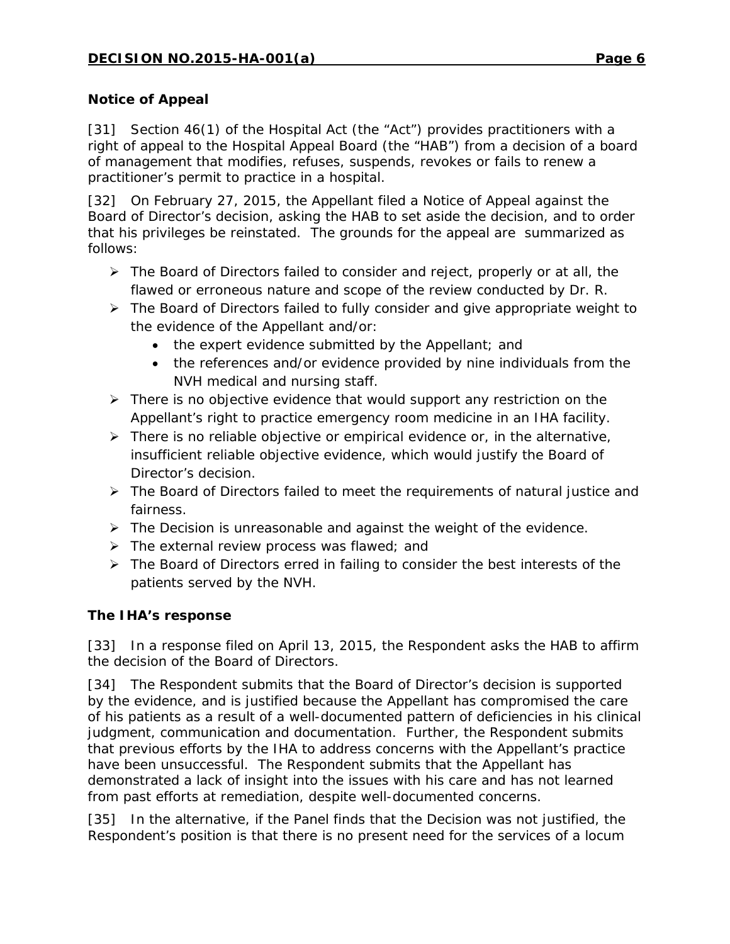#### **Notice of Appeal**

[31] Section 46(1) of the *Hospital Act* (the "Act") provides practitioners with a right of appeal to the Hospital Appeal Board (the "HAB") from a decision of a board of management that modifies, refuses, suspends, revokes or fails to renew a practitioner's permit to practice in a hospital.

[32] On February 27, 2015, the Appellant filed a Notice of Appeal against the Board of Director's decision, asking the HAB to set aside the decision, and to order that his privileges be reinstated. The grounds for the appeal are summarized as follows:

- $\triangleright$  The Board of Directors failed to consider and reject, properly or at all, the flawed or erroneous nature and scope of the review conducted by Dr. R.
- ▶ The Board of Directors failed to fully consider and give appropriate weight to the evidence of the Appellant and/or:
	- the expert evidence submitted by the Appellant; and
	- the references and/or evidence provided by nine individuals from the NVH medical and nursing staff.
- $\triangleright$  There is no objective evidence that would support any restriction on the Appellant's right to practice emergency room medicine in an IHA facility.
- $\triangleright$  There is no reliable objective or empirical evidence or, in the alternative, insufficient reliable objective evidence, which would justify the Board of Director's decision.
- > The Board of Directors failed to meet the requirements of natural justice and fairness.
- $\triangleright$  The Decision is unreasonable and against the weight of the evidence.
- $\triangleright$  The external review process was flawed; and
- $\triangleright$  The Board of Directors erred in failing to consider the best interests of the patients served by the NVH.

## **The IHA's response**

[33] In a response filed on April 13, 2015, the Respondent asks the HAB to affirm the decision of the Board of Directors.

[34] The Respondent submits that the Board of Director's decision is supported by the evidence, and is justified because the Appellant has compromised the care of his patients as a result of a well-documented pattern of deficiencies in his clinical judgment, communication and documentation. Further, the Respondent submits that previous efforts by the IHA to address concerns with the Appellant's practice have been unsuccessful. The Respondent submits that the Appellant has demonstrated a lack of insight into the issues with his care and has not learned from past efforts at remediation, despite well-documented concerns.

[35] In the alternative, if the Panel finds that the Decision was not justified, the Respondent's position is that there is no present need for the services of a locum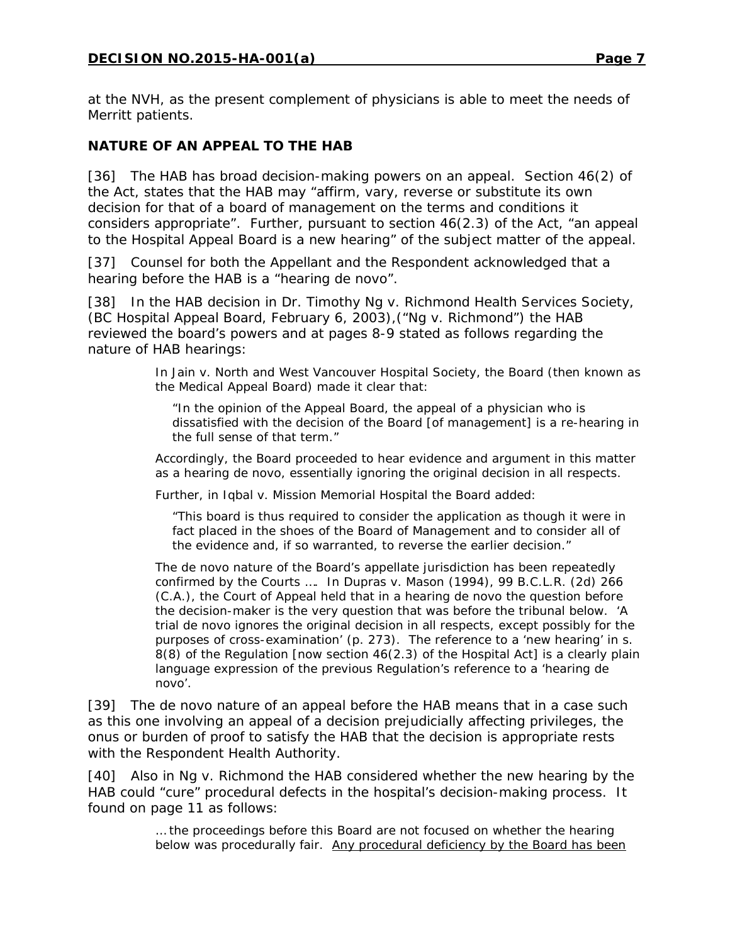at the NVH, as the present complement of physicians is able to meet the needs of Merritt patients.

## **NATURE OF AN APPEAL TO THE HAB**

[36] The HAB has broad decision-making powers on an appeal. Section 46(2) of the Act, states that the HAB may "affirm, vary, reverse or substitute its own decision for that of a board of management on the terms and conditions it considers appropriate". Further, pursuant to section 46(2.3) of the Act, "an appeal to the Hospital Appeal Board is a new hearing" of the subject matter of the appeal.

[37] Counsel for both the Appellant and the Respondent acknowledged that a hearing before the HAB is a "hearing *de novo*".

[38] In the HAB decision in *Dr. Timothy Ng v. Richmond Health Services Society*, (BC Hospital Appeal Board, February 6, 2003),("*Ng v. Richmond*") the HAB reviewed the board's powers and at pages 8-9 stated as follows regarding the nature of HAB hearings:

> In *Jain v. North and West Vancouver Hospital Society*, the Board (then known as the Medical Appeal Board) made it clear that:

"In the opinion of the Appeal Board, the appeal of a physician who is dissatisfied with the decision of the Board [of management] is a re-hearing in the full sense of that term."

Accordingly, the Board proceeded to hear evidence and argument in this matter as a hearing *de novo*, essentially ignoring the original decision in all respects.

Further, in *Iqbal v. Mission Memorial Hospital* the Board added:

"This board is thus required to consider the application as though it were in fact placed in the shoes of the Board of Management and to consider all of the evidence and, if so warranted, to reverse the earlier decision."

The *de novo* nature of the Board's appellate jurisdiction has been repeatedly confirmed by the Courts …. In *Dupras v. Mason* (1994), 99 B.C.L.R. (2d) 266 (C.A.), the Court of Appeal held that in a hearing *de novo* the question before the decision-maker is the very question that was before the tribunal below. 'A trial *de novo* ignores the original decision in all respects, except possibly for the purposes of cross-examination' (p. 273). The reference to a 'new hearing' in s. 8(8) of the Regulation [now section 46(2.3) of the *Hospital Act*] is a clearly plain language expression of the previous Regulation's reference to a 'hearing de novo'.

[39] The *de novo* nature of an appeal before the HAB means that in a case such as this one involving an appeal of a decision prejudicially affecting privileges, the onus or burden of proof to satisfy the HAB that the decision is appropriate rests with the Respondent Health Authority.

[40] Also in *Ng v. Richmond* the HAB considered whether the new hearing by the HAB could "cure" procedural defects in the hospital's decision-making process. It found on page 11 as follows:

> … the proceedings before this Board are not focused on whether the hearing below was procedurally fair. Any procedural deficiency by the Board has been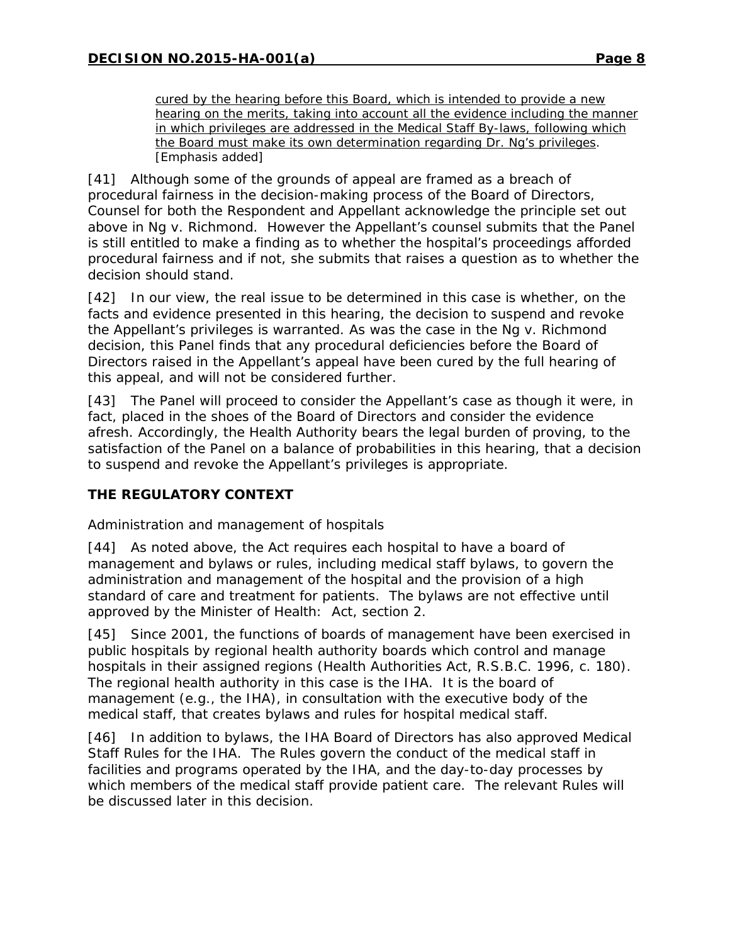cured by the hearing before this Board, which is intended to provide a new hearing on the merits, taking into account all the evidence including the manner in which privileges are addressed in the Medical Staff By-laws, following which the Board must make its own determination regarding Dr. Ng's privileges. [Emphasis added]

[41] Although some of the grounds of appeal are framed as a breach of procedural fairness in the decision-making process of the Board of Directors, Counsel for both the Respondent and Appellant acknowledge the principle set out above in *Ng v. Richmond*. However the Appellant's counsel submits that the Panel is still entitled to make a finding as to whether the hospital's proceedings afforded procedural fairness and if not, she submits that raises a question as to whether the decision should stand.

[42] In our view, the real issue to be determined in this case is whether, on the facts and evidence presented in this hearing, the decision to suspend and revoke the Appellant's privileges is warranted. As was the case in the *Ng v. Richmond*  decision, this Panel finds that any procedural deficiencies before the Board of Directors raised in the Appellant's appeal have been cured by the full hearing of this appeal, and will not be considered further.

[43] The Panel will proceed to consider the Appellant's case as though it were, in fact, placed in the shoes of the Board of Directors and consider the evidence afresh. Accordingly, the Health Authority bears the legal burden of proving, to the satisfaction of the Panel on a balance of probabilities in this hearing, that a decision to suspend and revoke the Appellant's privileges is appropriate.

## **THE REGULATORY CONTEXT**

## *Administration and management of hospitals*

[44] As noted above, the Act requires each hospital to have a board of management and bylaws or rules, including medical staff bylaws, to govern the administration and management of the hospital and the provision of a high standard of care and treatment for patients. The bylaws are not effective until approved by the Minister of Health: Act, section 2.

[45] Since 2001, the functions of boards of management have been exercised in public hospitals by regional health authority boards which control and manage hospitals in their assigned regions (*Health Authorities Act*, R.S.B.C. 1996, c. 180). The regional health authority in this case is the IHA. It is the board of management (e.g., the IHA), in consultation with the executive body of the medical staff, that creates bylaws and rules for hospital medical staff.

[46] In addition to bylaws, the IHA Board of Directors has also approved Medical Staff Rules for the IHA. The Rules govern the conduct of the medical staff in facilities and programs operated by the IHA, and the day-to-day processes by which members of the medical staff provide patient care. The relevant Rules will be discussed later in this decision.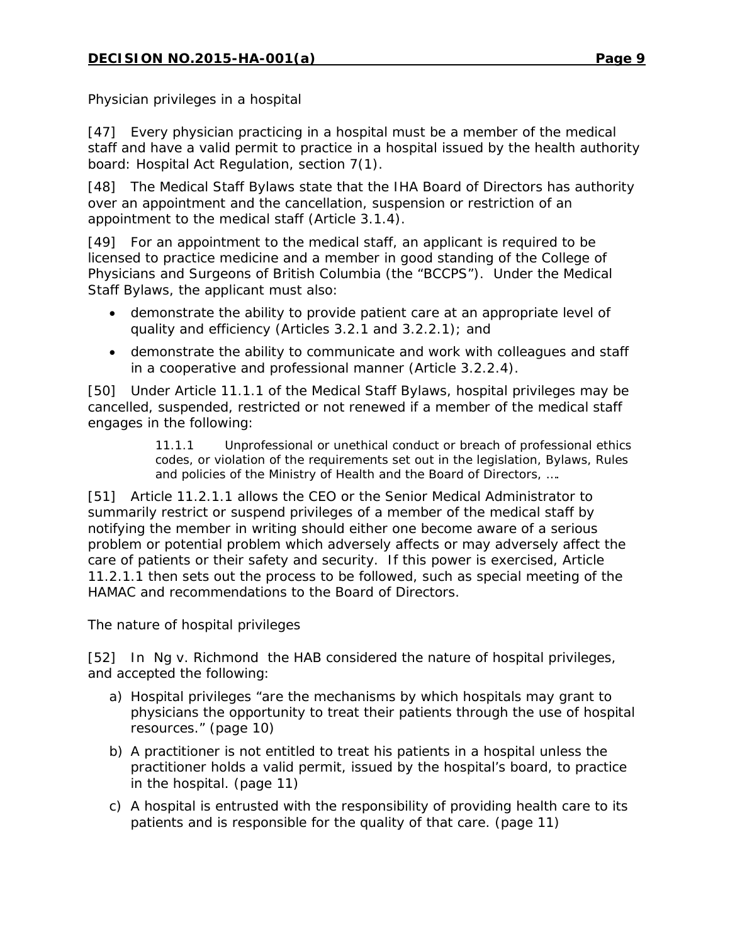#### *Physician privileges in a hospital*

[47] Every physician practicing in a hospital must be a member of the medical staff and have a valid permit to practice in a hospital issued by the health authority board: Hospital Act Regulation, section 7(1).

[48] The Medical Staff Bylaws state that the IHA Board of Directors has authority over an appointment and the cancellation, suspension or restriction of an appointment to the medical staff (Article 3.1.4).

[49] For an appointment to the medical staff, an applicant is required to be licensed to practice medicine and a member in good standing of the College of Physicians and Surgeons of British Columbia (the "BCCPS"). Under the Medical Staff Bylaws, the applicant must also:

- demonstrate the ability to provide patient care at an appropriate level of quality and efficiency (Articles 3.2.1 and 3.2.2.1); and
- demonstrate the ability to communicate and work with colleagues and staff in a cooperative and professional manner (Article 3.2.2.4).

[50] Under Article 11.1.1 of the Medical Staff Bylaws, hospital privileges may be cancelled, suspended, restricted or not renewed if a member of the medical staff engages in the following:

> 11.1.1 Unprofessional or unethical conduct or breach of professional ethics codes, or violation of the requirements set out in the legislation, Bylaws, Rules and policies of the Ministry of Health and the Board of Directors, ....

[51] Article 11.2.1.1 allows the CEO or the Senior Medical Administrator to summarily restrict or suspend privileges of a member of the medical staff by notifying the member in writing should either one become aware of a serious problem or potential problem which adversely affects or may adversely affect the care of patients or their safety and security. If this power is exercised, Article 11.2.1.1 then sets out the process to be followed, such as special meeting of the HAMAC and recommendations to the Board of Directors.

## *The nature of hospital privileges*

[52] In *Ng v. Richmond* the HAB considered the nature of hospital privileges, and accepted the following:

- a) Hospital privileges "are the mechanisms by which hospitals may grant to physicians the opportunity to treat their patients through the use of hospital resources." (page 10)
- b) A practitioner is not entitled to treat his patients in a hospital unless the practitioner holds a valid permit, issued by the hospital's board, to practice in the hospital. (page 11)
- c) A hospital is entrusted with the responsibility of providing health care to its patients and is responsible for the quality of that care. (page 11)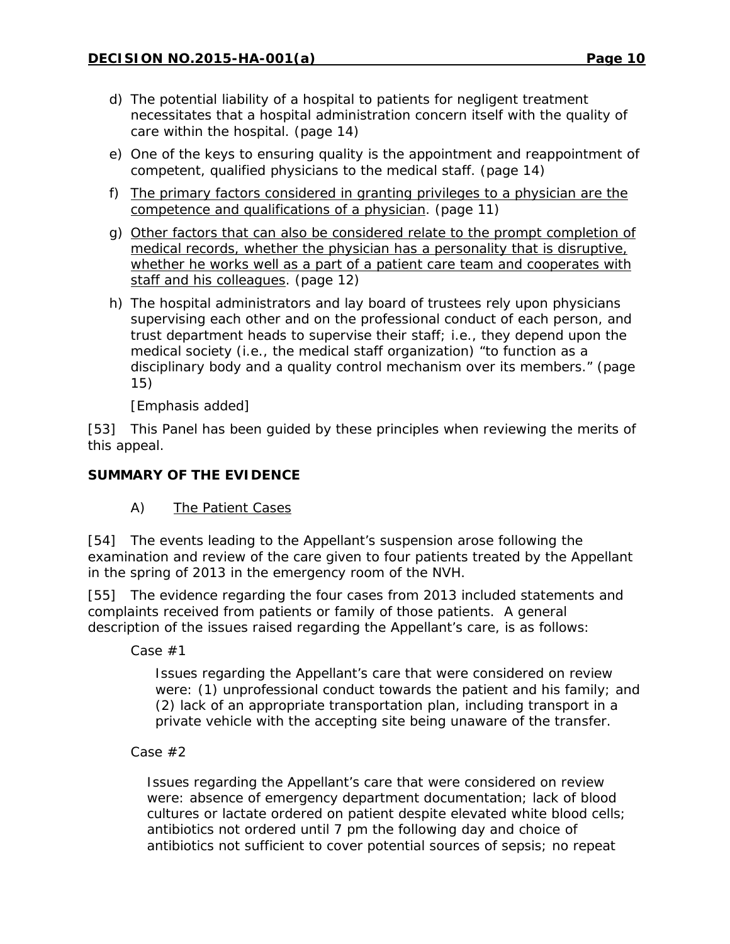- d) The potential liability of a hospital to patients for negligent treatment necessitates that a hospital administration concern itself with the quality of care within the hospital. (page 14)
- e) One of the keys to ensuring quality is the appointment and reappointment of competent, qualified physicians to the medical staff. (page 14)
- f) The primary factors considered in granting privileges to a physician are the competence and qualifications of a physician. (page 11)
- g) Other factors that can also be considered relate to the prompt completion of medical records, whether the physician has a personality that is disruptive, whether he works well as a part of a patient care team and cooperates with staff and his colleagues. (page 12)
- h) The hospital administrators and lay board of trustees rely upon physicians supervising each other and on the professional conduct of each person, and trust department heads to supervise their staff; i.e., they depend upon the medical society (i.e., the medical staff organization) "to function as a disciplinary body and a quality control mechanism over its members." (page 15)

[Emphasis added]

[53] This Panel has been guided by these principles when reviewing the merits of this appeal.

## **SUMMARY OF THE EVIDENCE**

A) The Patient Cases

[54] The events leading to the Appellant's suspension arose following the examination and review of the care given to four patients treated by the Appellant in the spring of 2013 in the emergency room of the NVH.

[55] The evidence regarding the four cases from 2013 included statements and complaints received from patients or family of those patients. A general description of the issues raised regarding the Appellant's care, is as follows:

*Case #1*

Issues regarding the Appellant's care that were considered on review were: (1) unprofessional conduct towards the patient and his family; and (2) lack of an appropriate transportation plan, including transport in a private vehicle with the accepting site being unaware of the transfer.

*Case #2*

Issues regarding the Appellant's care that were considered on review were: absence of emergency department documentation; lack of blood cultures or lactate ordered on patient despite elevated white blood cells; antibiotics not ordered until 7 pm the following day and choice of antibiotics not sufficient to cover potential sources of sepsis; no repeat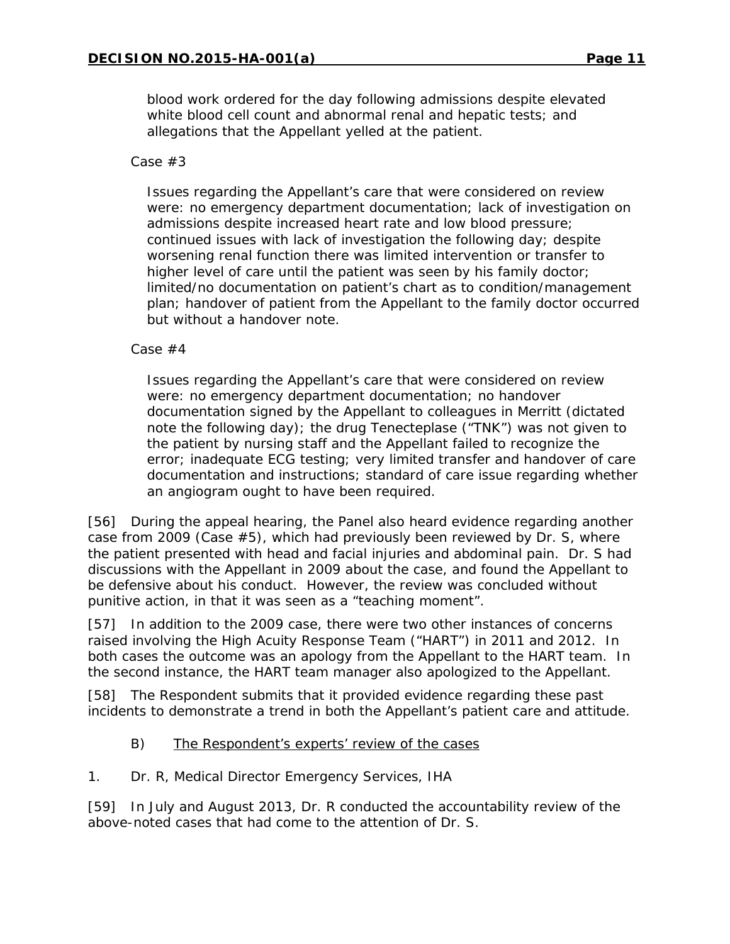blood work ordered for the day following admissions despite elevated white blood cell count and abnormal renal and hepatic tests; and allegations that the Appellant yelled at the patient.

#### *Case #3*

Issues regarding the Appellant's care that were considered on review were: no emergency department documentation; lack of investigation on admissions despite increased heart rate and low blood pressure; continued issues with lack of investigation the following day; despite worsening renal function there was limited intervention or transfer to higher level of care until the patient was seen by his family doctor; limited/no documentation on patient's chart as to condition/management plan; handover of patient from the Appellant to the family doctor occurred but without a handover note.

#### *Case #4*

Issues regarding the Appellant's care that were considered on review were: no emergency department documentation; no handover documentation signed by the Appellant to colleagues in Merritt (dictated note the following day); the drug Tenecteplase ("TNK") was not given to the patient by nursing staff and the Appellant failed to recognize the error; inadequate ECG testing; very limited transfer and handover of care documentation and instructions; standard of care issue regarding whether an angiogram ought to have been required.

[56] During the appeal hearing, the Panel also heard evidence regarding another case from 2009 (Case #5), which had previously been reviewed by Dr. S, where the patient presented with head and facial injuries and abdominal pain. Dr. S had discussions with the Appellant in 2009 about the case, and found the Appellant to be defensive about his conduct. However, the review was concluded without punitive action, in that it was seen as a "teaching moment".

[57] In addition to the 2009 case, there were two other instances of concerns raised involving the High Acuity Response Team ("HART") in 2011 and 2012. In both cases the outcome was an apology from the Appellant to the HART team. In the second instance, the HART team manager also apologized to the Appellant.

[58] The Respondent submits that it provided evidence regarding these past incidents to demonstrate a trend in both the Appellant's patient care and attitude.

## B) The Respondent's experts' review of the cases

#### *1. Dr. R, Medical Director Emergency Services, IHA*

[59] In July and August 2013, Dr. R conducted the accountability review of the above-noted cases that had come to the attention of Dr. S.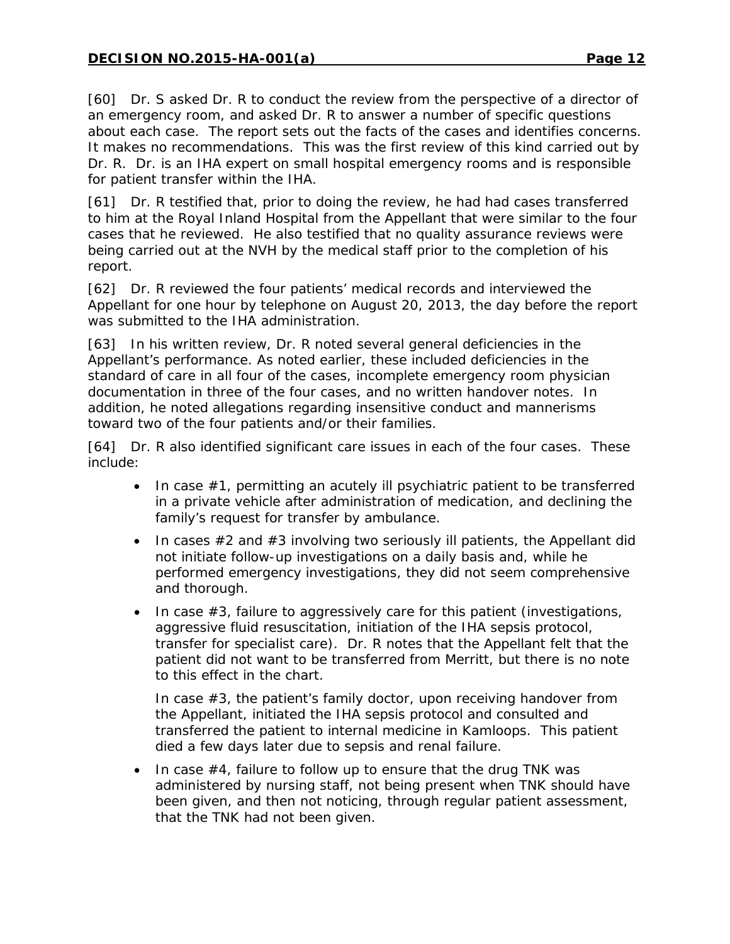[60] Dr. S asked Dr. R to conduct the review from the perspective of a director of an emergency room, and asked Dr. R to answer a number of specific questions about each case. The report sets out the facts of the cases and identifies concerns. It makes no recommendations. This was the first review of this kind carried out by Dr. R. Dr. is an IHA expert on small hospital emergency rooms and is responsible for patient transfer within the IHA.

[61] Dr. R testified that, prior to doing the review, he had had cases transferred to him at the Royal Inland Hospital from the Appellant that were similar to the four cases that he reviewed. He also testified that no quality assurance reviews were being carried out at the NVH by the medical staff prior to the completion of his report.

[62] Dr. R reviewed the four patients' medical records and interviewed the Appellant for one hour by telephone on August 20, 2013, the day before the report was submitted to the IHA administration.

[63] In his written review, Dr. R noted several general deficiencies in the Appellant's performance. As noted earlier, these included deficiencies in the standard of care in all four of the cases, incomplete emergency room physician documentation in three of the four cases, and no written handover notes. In addition, he noted allegations regarding insensitive conduct and mannerisms toward two of the four patients and/or their families.

[64] Dr. R also identified significant care issues in each of the four cases. These include:

- In case #1, permitting an acutely ill psychiatric patient to be transferred in a private vehicle after administration of medication, and declining the family's request for transfer by ambulance.
- In cases  $\#2$  and  $\#3$  involving two seriously ill patients, the Appellant did not initiate follow-up investigations on a daily basis and, while he performed emergency investigations, they did not seem comprehensive and thorough.
- In case #3, failure to aggressively care for this patient (investigations, aggressive fluid resuscitation, initiation of the IHA sepsis protocol, transfer for specialist care). Dr. R notes that the Appellant felt that the patient did not want to be transferred from Merritt, but there is no note to this effect in the chart.

In case #3, the patient's family doctor, upon receiving handover from the Appellant, initiated the IHA sepsis protocol and consulted and transferred the patient to internal medicine in Kamloops. This patient died a few days later due to sepsis and renal failure.

• In case #4, failure to follow up to ensure that the drug TNK was administered by nursing staff, not being present when TNK should have been given, and then not noticing, through regular patient assessment, that the TNK had not been given.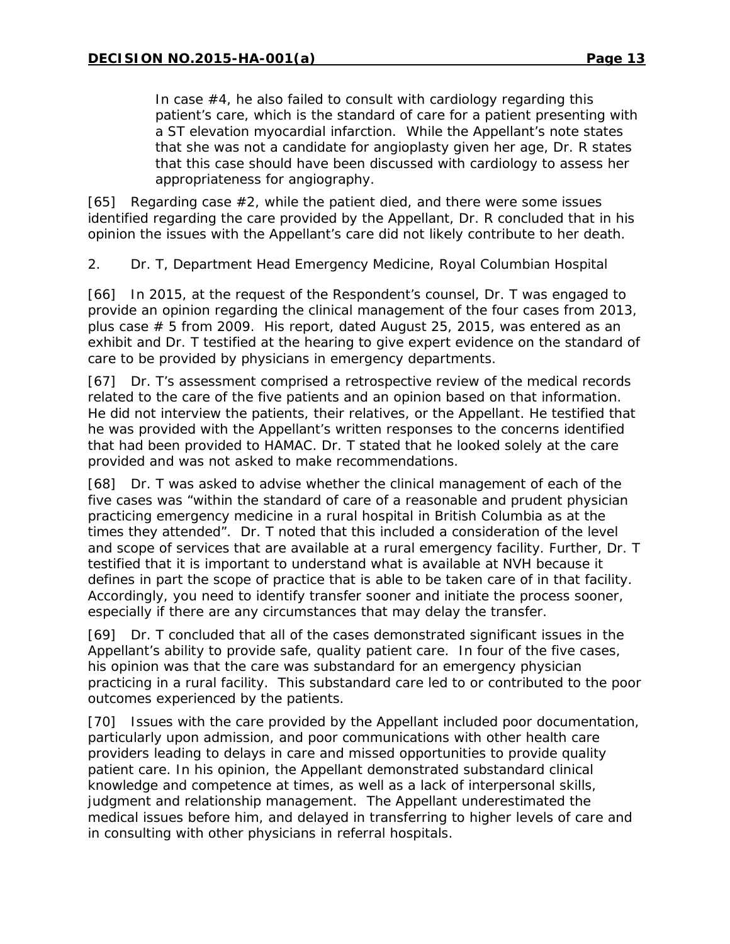In case #4, he also failed to consult with cardiology regarding this patient's care, which is the standard of care for a patient presenting with a ST elevation myocardial infarction. While the Appellant's note states that she was not a candidate for angioplasty given her age, Dr. R states that this case should have been discussed with cardiology to assess her appropriateness for angiography.

[65] Regarding case #2, while the patient died, and there were some issues identified regarding the care provided by the Appellant, Dr. R concluded that in his opinion the issues with the Appellant's care did not likely contribute to her death.

#### *2. Dr. T, Department Head Emergency Medicine, Royal Columbian Hospital*

[66] In 2015, at the request of the Respondent's counsel, Dr. T was engaged to provide an opinion regarding the clinical management of the four cases from 2013, plus case # 5 from 2009. His report, dated August 25, 2015, was entered as an exhibit and Dr. T testified at the hearing to give expert evidence on the standard of care to be provided by physicians in emergency departments.

[67] Dr. T's assessment comprised a retrospective review of the medical records related to the care of the five patients and an opinion based on that information. He did not interview the patients, their relatives, or the Appellant. He testified that he was provided with the Appellant's written responses to the concerns identified that had been provided to HAMAC. Dr. T stated that he looked solely at the care provided and was not asked to make recommendations.

[68] Dr. T was asked to advise whether the clinical management of each of the five cases was "within the standard of care of a reasonable and prudent physician practicing emergency medicine in a rural hospital in British Columbia as at the times they attended". Dr. T noted that this included a consideration of the level and scope of services that are available at a rural emergency facility. Further, Dr. T testified that it is important to understand what is available at NVH because it defines in part the scope of practice that is able to be taken care of in that facility. Accordingly, you need to identify transfer sooner and initiate the process sooner, especially if there are any circumstances that may delay the transfer.

[69] Dr. T concluded that all of the cases demonstrated significant issues in the Appellant's ability to provide safe, quality patient care. In four of the five cases, his opinion was that the care was substandard for an emergency physician practicing in a rural facility. This substandard care led to or contributed to the poor outcomes experienced by the patients.

[70] Issues with the care provided by the Appellant included poor documentation, particularly upon admission, and poor communications with other health care providers leading to delays in care and missed opportunities to provide quality patient care. In his opinion, the Appellant demonstrated substandard clinical knowledge and competence at times, as well as a lack of interpersonal skills, judgment and relationship management. The Appellant underestimated the medical issues before him, and delayed in transferring to higher levels of care and in consulting with other physicians in referral hospitals.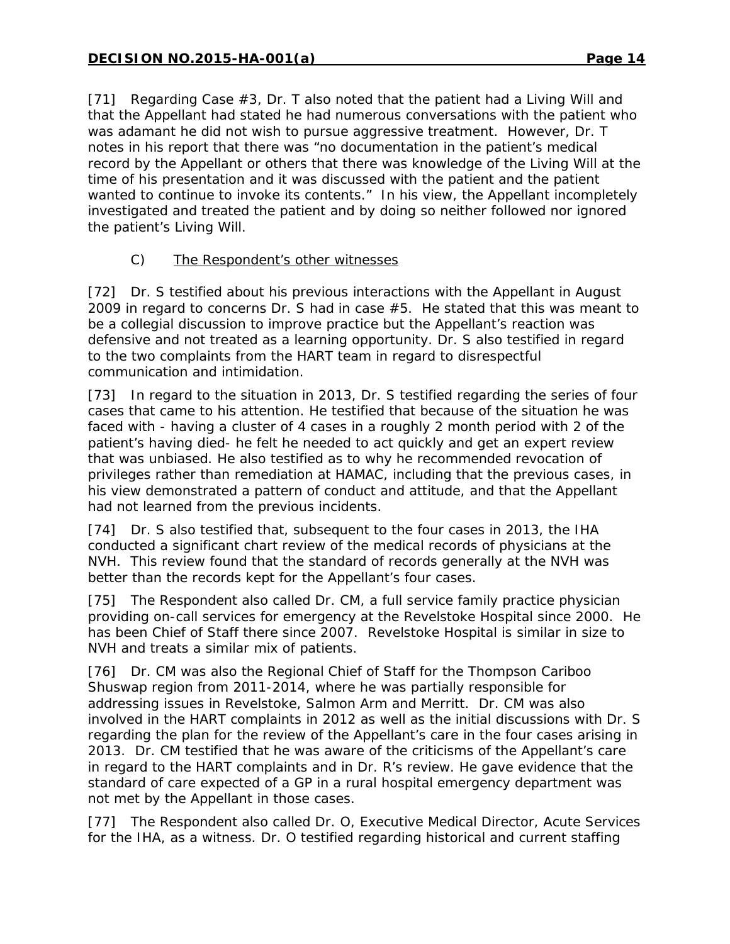[71] Regarding Case #3, Dr. T also noted that the patient had a Living Will and that the Appellant had stated he had numerous conversations with the patient who was adamant he did not wish to pursue aggressive treatment. However, Dr. T notes in his report that there was "no documentation in the patient's medical record by the Appellant or others that there was knowledge of the Living Will at the time of his presentation and it was discussed with the patient and the patient wanted to continue to invoke its contents." In his view, the Appellant incompletely investigated and treated the patient and by doing so neither followed nor ignored the patient's Living Will.

## C) The Respondent's other witnesses

[72] Dr. S testified about his previous interactions with the Appellant in August 2009 in regard to concerns Dr. S had in case #5. He stated that this was meant to be a collegial discussion to improve practice but the Appellant's reaction was defensive and not treated as a learning opportunity. Dr. S also testified in regard to the two complaints from the HART team in regard to disrespectful communication and intimidation.

[73] In regard to the situation in 2013, Dr. S testified regarding the series of four cases that came to his attention. He testified that because of the situation he was faced with - having a cluster of 4 cases in a roughly 2 month period with 2 of the patient's having died- he felt he needed to act quickly and get an expert review that was unbiased. He also testified as to why he recommended revocation of privileges rather than remediation at HAMAC, including that the previous cases, in his view demonstrated a pattern of conduct and attitude, and that the Appellant had not learned from the previous incidents.

[74] Dr. S also testified that, subsequent to the four cases in 2013, the IHA conducted a significant chart review of the medical records of physicians at the NVH. This review found that the standard of records generally at the NVH was better than the records kept for the Appellant's four cases.

[75] The Respondent also called Dr. CM, a full service family practice physician providing on-call services for emergency at the Revelstoke Hospital since 2000. He has been Chief of Staff there since 2007. Revelstoke Hospital is similar in size to NVH and treats a similar mix of patients.

[76] Dr. CM was also the Regional Chief of Staff for the Thompson Cariboo Shuswap region from 2011-2014, where he was partially responsible for addressing issues in Revelstoke, Salmon Arm and Merritt. Dr. CM was also involved in the HART complaints in 2012 as well as the initial discussions with Dr. S regarding the plan for the review of the Appellant's care in the four cases arising in 2013. Dr. CM testified that he was aware of the criticisms of the Appellant's care in regard to the HART complaints and in Dr. R's review. He gave evidence that the standard of care expected of a GP in a rural hospital emergency department was not met by the Appellant in those cases.

[77] The Respondent also called Dr. O, Executive Medical Director, Acute Services for the IHA, as a witness. Dr. O testified regarding historical and current staffing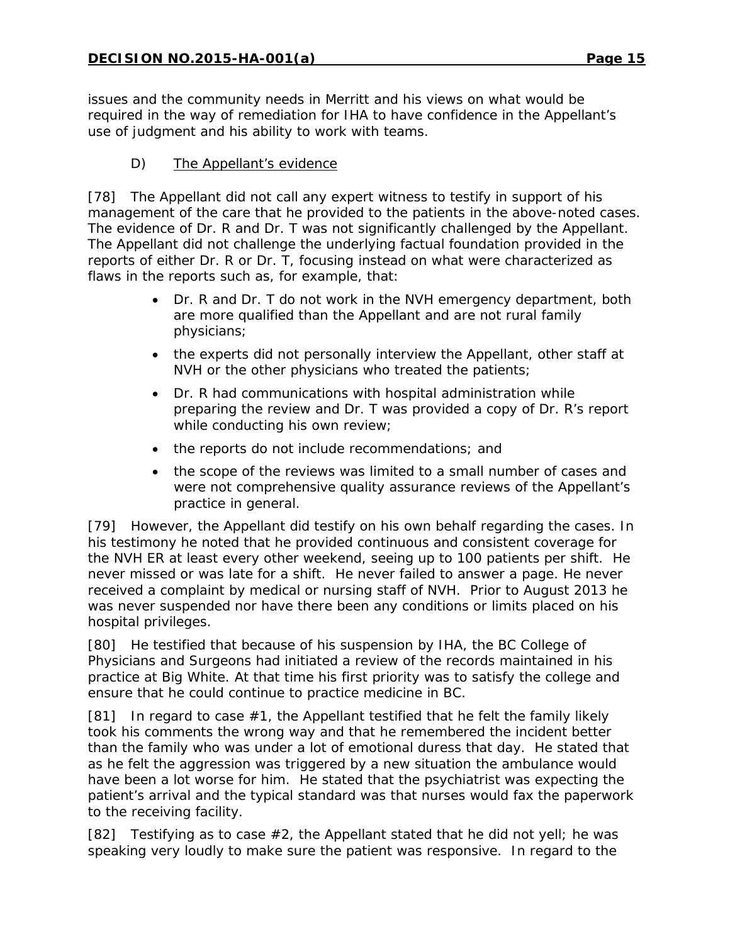issues and the community needs in Merritt and his views on what would be required in the way of remediation for IHA to have confidence in the Appellant's use of judgment and his ability to work with teams.

# D) The Appellant's evidence

[78] The Appellant did not call any expert witness to testify in support of his management of the care that he provided to the patients in the above-noted cases. The evidence of Dr. R and Dr. T was not significantly challenged by the Appellant. The Appellant did not challenge the underlying factual foundation provided in the reports of either Dr. R or Dr. T, focusing instead on what were characterized as flaws in the reports such as, for example, that:

- Dr. R and Dr. T do not work in the NVH emergency department, both are more qualified than the Appellant and are not rural family physicians;
- the experts did not personally interview the Appellant, other staff at NVH or the other physicians who treated the patients;
- Dr. R had communications with hospital administration while preparing the review and Dr. T was provided a copy of Dr. R's report while conducting his own review;
- the reports do not include recommendations; and
- the scope of the reviews was limited to a small number of cases and were not comprehensive quality assurance reviews of the Appellant's practice in general.

[79] However, the Appellant did testify on his own behalf regarding the cases. In his testimony he noted that he provided continuous and consistent coverage for the NVH ER at least every other weekend, seeing up to 100 patients per shift. He never missed or was late for a shift. He never failed to answer a page. He never received a complaint by medical or nursing staff of NVH. Prior to August 2013 he was never suspended nor have there been any conditions or limits placed on his hospital privileges.

[80] He testified that because of his suspension by IHA, the BC College of Physicians and Surgeons had initiated a review of the records maintained in his practice at Big White. At that time his first priority was to satisfy the college and ensure that he could continue to practice medicine in BC.

[81] In regard to case  $#1$ , the Appellant testified that he felt the family likely took his comments the wrong way and that he remembered the incident better than the family who was under a lot of emotional duress that day. He stated that as he felt the aggression was triggered by a new situation the ambulance would have been a lot worse for him. He stated that the psychiatrist was expecting the patient's arrival and the typical standard was that nurses would fax the paperwork to the receiving facility*.*

[82] Testifying as to case  $#2$ , the Appellant stated that he did not yell; he was speaking very loudly to make sure the patient was responsive. In regard to the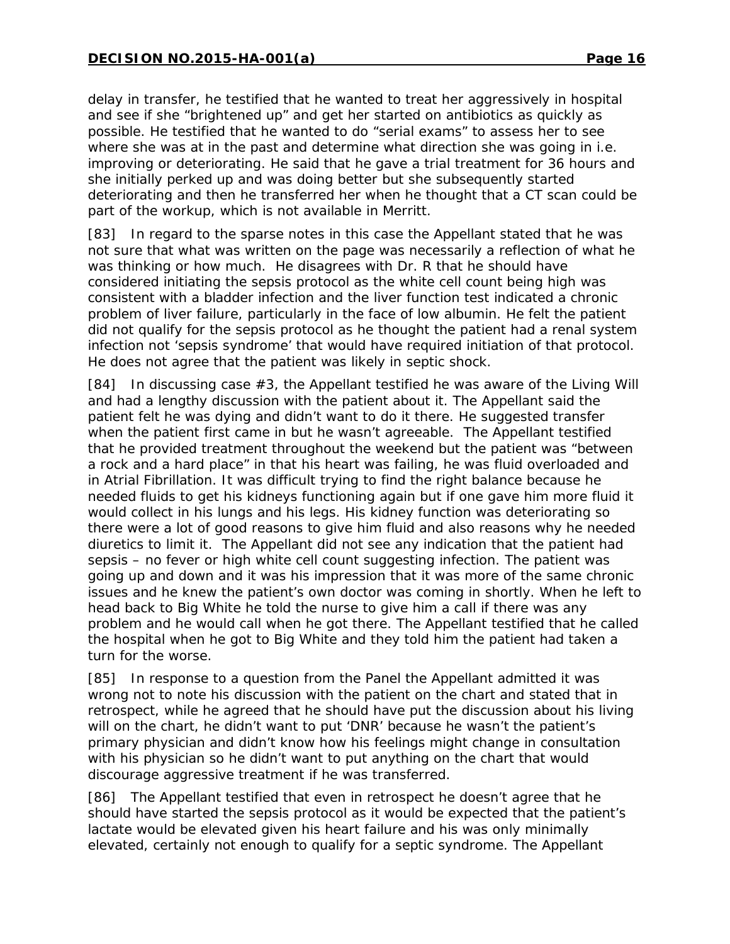delay in transfer, he testified that he wanted to treat her aggressively in hospital and see if she "brightened up" and get her started on antibiotics as quickly as possible. He testified that he wanted to do "serial exams" to assess her to see where she was at in the past and determine what direction she was going in i.e. improving or deteriorating. He said that he gave a trial treatment for 36 hours and she initially perked up and was doing better but she subsequently started deteriorating and then he transferred her when he thought that a CT scan could be part of the workup, which is not available in Merritt.

[83] In regard to the sparse notes in this case the Appellant stated that he was not sure that what was written on the page was necessarily a reflection of what he was thinking or how much. He disagrees with Dr. R that he should have considered initiating the sepsis protocol as the white cell count being high was consistent with a bladder infection and the liver function test indicated a chronic problem of liver failure, particularly in the face of low albumin. He felt the patient did not qualify for the sepsis protocol as he thought the patient had a renal system infection not 'sepsis syndrome' that would have required initiation of that protocol. He does not agree that the patient was likely in septic shock.

[84] In discussing case #3, the Appellant testified he was aware of the Living Will and had a lengthy discussion with the patient about it. The Appellant said the patient felt he was dying and didn't want to do it there. He suggested transfer when the patient first came in but he wasn't agreeable. The Appellant testified that he provided treatment throughout the weekend but the patient was "between a rock and a hard place" in that his heart was failing, he was fluid overloaded and in Atrial Fibrillation. It was difficult trying to find the right balance because he needed fluids to get his kidneys functioning again but if one gave him more fluid it would collect in his lungs and his legs. His kidney function was deteriorating so there were a lot of good reasons to give him fluid and also reasons why he needed diuretics to limit it. The Appellant did not see any indication that the patient had sepsis – no fever or high white cell count suggesting infection. The patient was going up and down and it was his impression that it was more of the same chronic issues and he knew the patient's own doctor was coming in shortly. When he left to head back to Big White he told the nurse to give him a call if there was any problem and he would call when he got there. The Appellant testified that he called the hospital when he got to Big White and they told him the patient had taken a turn for the worse.

[85] In response to a question from the Panel the Appellant admitted it was wrong not to note his discussion with the patient on the chart and stated that in retrospect, while he agreed that he should have put the discussion about his living will on the chart, he didn't want to put 'DNR' because he wasn't the patient's primary physician and didn't know how his feelings might change in consultation with his physician so he didn't want to put anything on the chart that would discourage aggressive treatment if he was transferred.

[86] The Appellant testified that even in retrospect he doesn't agree that he should have started the sepsis protocol as it would be expected that the patient's lactate would be elevated given his heart failure and his was only minimally elevated, certainly not enough to qualify for a septic syndrome. The Appellant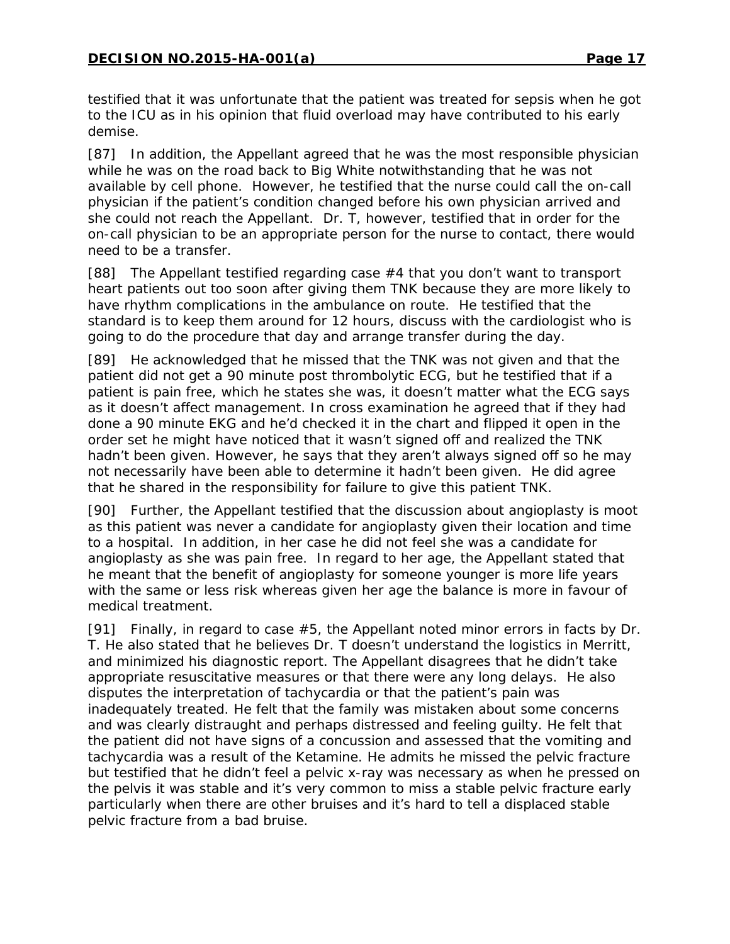testified that it was unfortunate that the patient was treated for sepsis when he got to the ICU as in his opinion that fluid overload may have contributed to his early demise.

[87] In addition, the Appellant agreed that he was the most responsible physician while he was on the road back to Big White notwithstanding that he was not available by cell phone. However, he testified that the nurse could call the on-call physician if the patient's condition changed before his own physician arrived and she could not reach the Appellant. Dr. T, however, testified that in order for the on-call physician to be an appropriate person for the nurse to contact, there would need to be a transfer.

[88] The Appellant testified regarding case #4 that you don't want to transport heart patients out too soon after giving them TNK because they are more likely to have rhythm complications in the ambulance on route. He testified that the standard is to keep them around for 12 hours, discuss with the cardiologist who is going to do the procedure that day and arrange transfer during the day.

[89] He acknowledged that he missed that the TNK was not given and that the patient did not get a 90 minute post thrombolytic ECG, but he testified that if a patient is pain free, which he states she was, it doesn't matter what the ECG says as it doesn't affect management. In cross examination he agreed that if they had done a 90 minute EKG and he'd checked it in the chart and flipped it open in the order set he might have noticed that it wasn't signed off and realized the TNK hadn't been given. However, he says that they aren't always signed off so he may not necessarily have been able to determine it hadn't been given. He did agree that he shared in the responsibility for failure to give this patient TNK.

[90] Further, the Appellant testified that the discussion about angioplasty is moot as this patient was never a candidate for angioplasty given their location and time to a hospital. In addition, in her case he did not feel she was a candidate for angioplasty as she was pain free. In regard to her age, the Appellant stated that he meant that the benefit of angioplasty for someone younger is more life years with the same or less risk whereas given her age the balance is more in favour of medical treatment.

[91] Finally, in regard to case #5, the Appellant noted minor errors in facts by Dr. T. He also stated that he believes Dr. T doesn't understand the logistics in Merritt, and minimized his diagnostic report. The Appellant disagrees that he didn't take appropriate resuscitative measures or that there were any long delays. He also disputes the interpretation of tachycardia or that the patient's pain was inadequately treated. He felt that the family was mistaken about some concerns and was clearly distraught and perhaps distressed and feeling guilty. He felt that the patient did not have signs of a concussion and assessed that the vomiting and tachycardia was a result of the Ketamine. He admits he missed the pelvic fracture but testified that he didn't feel a pelvic x-ray was necessary as when he pressed on the pelvis it was stable and it's very common to miss a stable pelvic fracture early particularly when there are other bruises and it's hard to tell a displaced stable pelvic fracture from a bad bruise.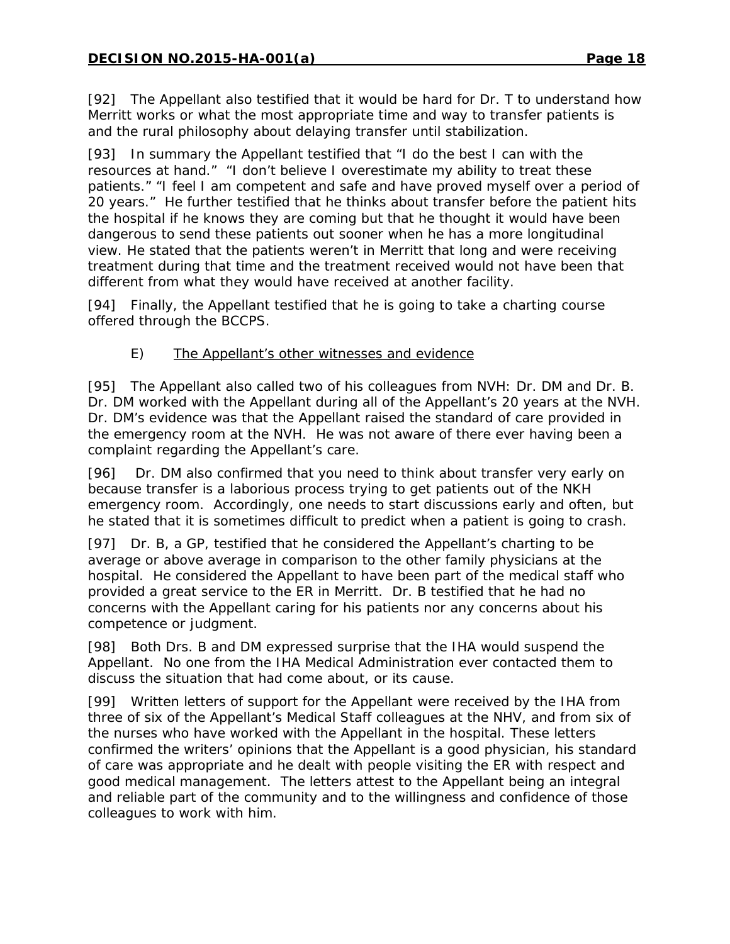[92] The Appellant also testified that it would be hard for Dr. T to understand how Merritt works or what the most appropriate time and way to transfer patients is and the rural philosophy about delaying transfer until stabilization.

[93] In summary the Appellant testified that "I do the best I can with the resources at hand." "I don't believe I overestimate my ability to treat these patients." "I feel I am competent and safe and have proved myself over a period of 20 years." He further testified that he thinks about transfer before the patient hits the hospital if he knows they are coming but that he thought it would have been dangerous to send these patients out sooner when he has a more longitudinal view. He stated that the patients weren't in Merritt that long and were receiving treatment during that time and the treatment received would not have been that different from what they would have received at another facility.

[94] Finally, the Appellant testified that he is going to take a charting course offered through the BCCPS.

## E) The Appellant's other witnesses and evidence

[95] The Appellant also called two of his colleagues from NVH: Dr. DM and Dr. B. Dr. DM worked with the Appellant during all of the Appellant's 20 years at the NVH. Dr. DM's evidence was that the Appellant raised the standard of care provided in the emergency room at the NVH. He was not aware of there ever having been a complaint regarding the Appellant's care.

[96] Dr. DM also confirmed that you need to think about transfer very early on because transfer is a laborious process trying to get patients out of the NKH emergency room. Accordingly, one needs to start discussions early and often, but he stated that it is sometimes difficult to predict when a patient is going to crash.

[97] Dr. B, a GP, testified that he considered the Appellant's charting to be average or above average in comparison to the other family physicians at the hospital. He considered the Appellant to have been part of the medical staff who provided a great service to the ER in Merritt. Dr. B testified that he had no concerns with the Appellant caring for his patients nor any concerns about his competence or judgment.

[98] Both Drs. B and DM expressed surprise that the IHA would suspend the Appellant. No one from the IHA Medical Administration ever contacted them to discuss the situation that had come about, or its cause.

[99] Written letters of support for the Appellant were received by the IHA from three of six of the Appellant's Medical Staff colleagues at the NHV, and from six of the nurses who have worked with the Appellant in the hospital. These letters confirmed the writers' opinions that the Appellant is a good physician, his standard of care was appropriate and he dealt with people visiting the ER with respect and good medical management. The letters attest to the Appellant being an integral and reliable part of the community and to the willingness and confidence of those colleagues to work with him.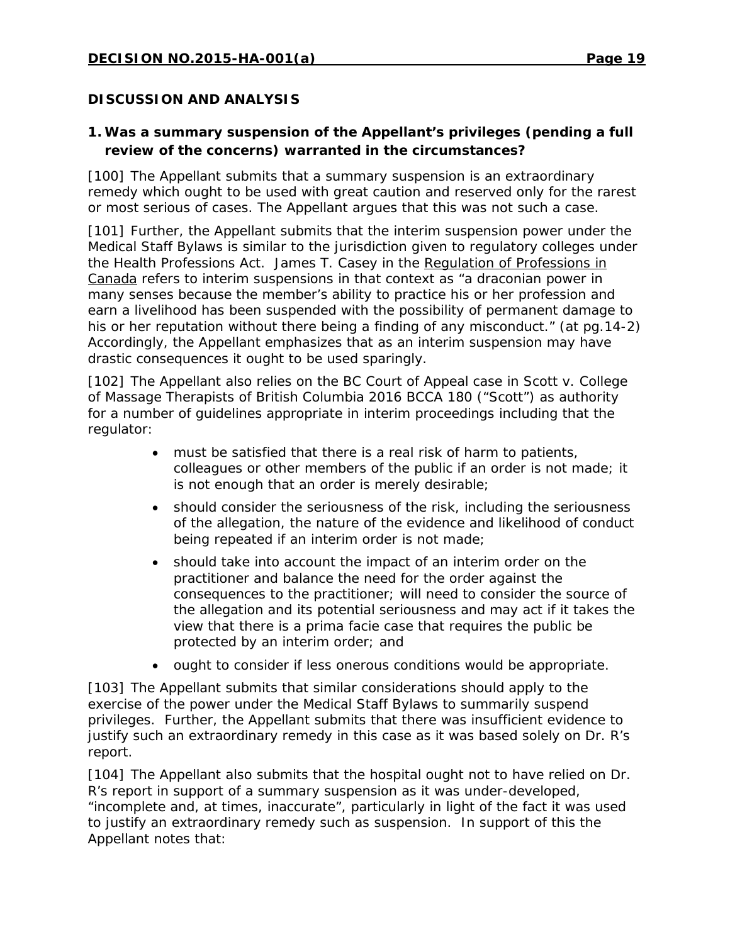## **DISCUSSION AND ANALYSIS**

# **1. Was a summary suspension of the Appellant's privileges (pending a full review of the concerns) warranted in the circumstances?**

[100] The Appellant submits that a summary suspension is an extraordinary remedy which ought to be used with great caution and reserved only for the rarest or most serious of cases. The Appellant argues that this was not such a case.

[101] Further, the Appellant submits that the interim suspension power under the Medical Staff Bylaws is similar to the jurisdiction given to regulatory colleges under the *Health Professions Act.* James T. Casey in the Regulation of Professions in Canada refers to interim suspensions in that context as "a draconian power in many senses because the member's ability to practice his or her profession and earn a livelihood has been suspended with the possibility of permanent damage to his or her reputation without there being a finding of any misconduct." (at pg.14-2) Accordingly, the Appellant emphasizes that as an interim suspension may have drastic consequences it ought to be used sparingly.

[102] The Appellant also relies on the BC Court of Appeal case in *Scott v. College of Massage Therapists of British Columbia* 2016 BCCA 180 ("*Scott")* as authority for a number of guidelines appropriate in interim proceedings including that the regulator:

- must be satisfied that there is a real risk of harm to patients, colleagues or other members of the public if an order is not made; it is not enough that an order is merely desirable;
- should consider the seriousness of the risk, including the seriousness of the allegation, the nature of the evidence and likelihood of conduct being repeated if an interim order is not made;
- should take into account the impact of an interim order on the practitioner and balance the need for the order against the consequences to the practitioner; will need to consider the source of the allegation and its potential seriousness and may act if it takes the view that there is a prima facie case that requires the public be protected by an interim order; and
- ought to consider if less onerous conditions would be appropriate.

[103] The Appellant submits that similar considerations should apply to the exercise of the power under the Medical Staff Bylaws to summarily suspend privileges. Further, the Appellant submits that there was insufficient evidence to justify such an extraordinary remedy in this case as it was based solely on Dr. R's report.

[104] The Appellant also submits that the hospital ought not to have relied on Dr. R's report in support of a summary suspension as it was under-developed, "incomplete and, at times, inaccurate", particularly in light of the fact it was used to justify an extraordinary remedy such as suspension. In support of this the Appellant notes that: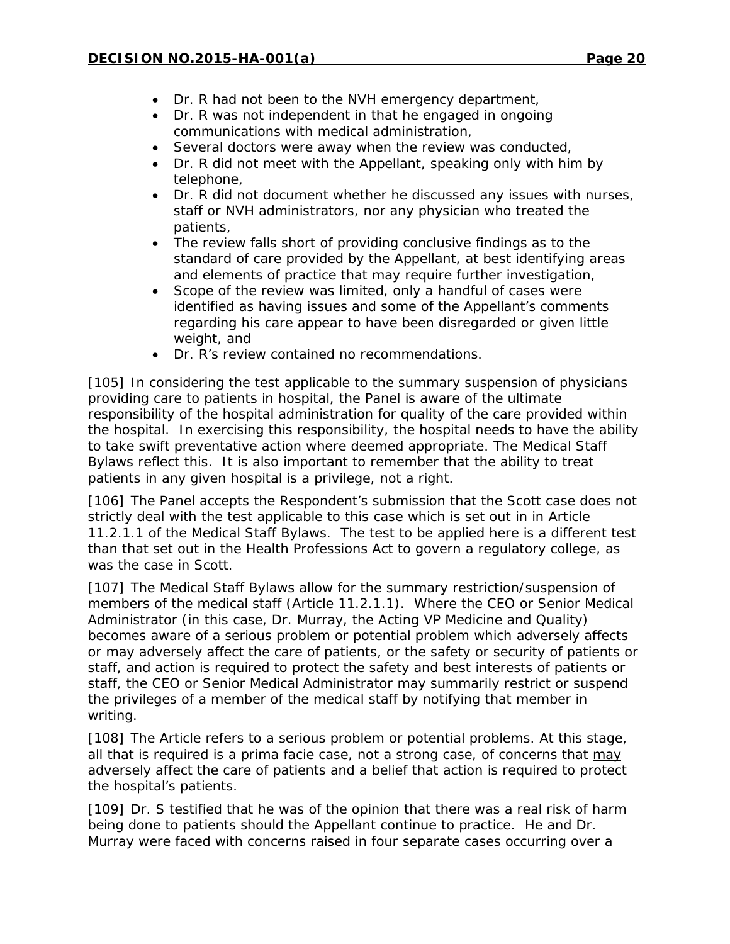- Dr. R had not been to the NVH emergency department,
- Dr. R was not independent in that he engaged in ongoing communications with medical administration,
- Several doctors were away when the review was conducted,
- Dr. R did not meet with the Appellant, speaking only with him by telephone,
- Dr. R did not document whether he discussed any issues with nurses, staff or NVH administrators, nor any physician who treated the patients,
- The review falls short of providing conclusive findings as to the standard of care provided by the Appellant, at best identifying areas and elements of practice that may require further investigation,
- Scope of the review was limited, only a handful of cases were identified as having issues and some of the Appellant's comments regarding his care appear to have been disregarded or given little weight, and
- Dr. R's review contained no recommendations.

[105] In considering the test applicable to the summary suspension of physicians providing care to patients in hospital, the Panel is aware of the ultimate responsibility of the hospital administration for quality of the care provided within the hospital. In exercising this responsibility, the hospital needs to have the ability to take swift preventative action where deemed appropriate. The Medical Staff Bylaws reflect this. It is also important to remember that the ability to treat patients in any given hospital is a privilege, not a right.

[106] The Panel accepts the Respondent's submission that the *Scott* case does not strictly deal with the test applicable to this case which is set out in in Article 11.2.1.1 of the Medical Staff Bylaws. The test to be applied here is a different test than that set out in the *Health Professions Act* to govern a regulatory college, as was the case in *Scott*.

[107] The Medical Staff Bylaws allow for the summary restriction/suspension of members of the medical staff (Article 11.2.1.1). Where the CEO or Senior Medical Administrator (in this case, Dr. Murray, the Acting VP Medicine and Quality) becomes aware of a serious problem or potential problem which adversely affects or may adversely affect the care of patients, or the safety or security of patients or staff, and action is required to protect the safety and best interests of patients or staff, the CEO or Senior Medical Administrator may summarily restrict or suspend the privileges of a member of the medical staff by notifying that member in writing.

[108] The Article refers to a serious problem or potential problems. At this stage, all that is required is a prima facie case, not a strong case, of concerns that may adversely affect the care of patients and a belief that action is required to protect the hospital's patients.

[109] Dr. S testified that he was of the opinion that there was a real risk of harm being done to patients should the Appellant continue to practice. He and Dr. Murray were faced with concerns raised in four separate cases occurring over a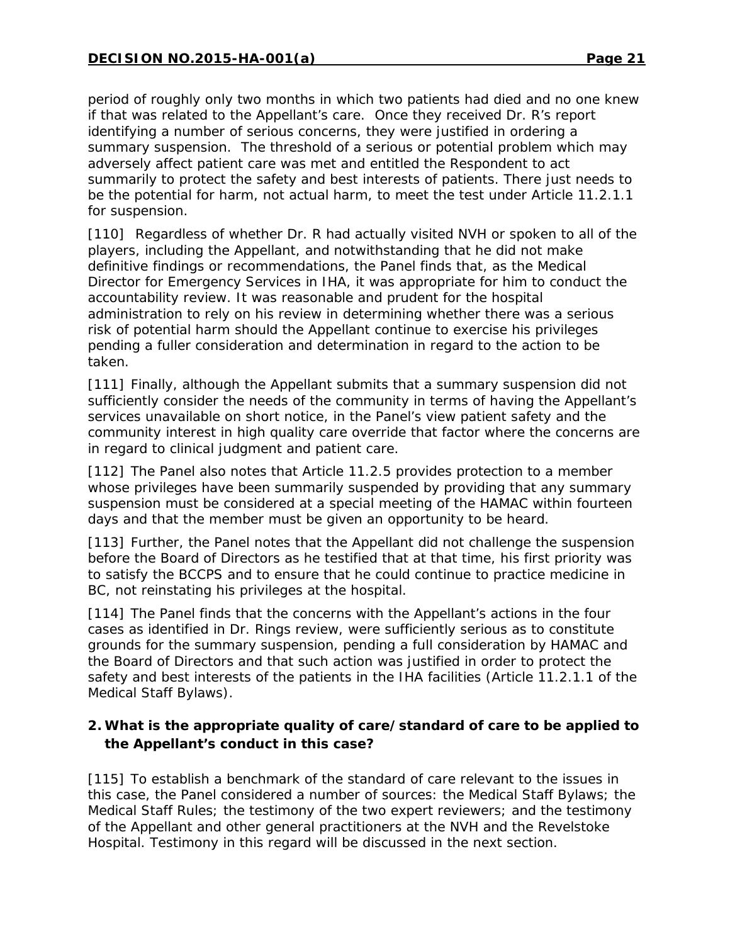period of roughly only two months in which two patients had died and no one knew if that was related to the Appellant's care. Once they received Dr. R's report identifying a number of serious concerns, they were justified in ordering a summary suspension. The threshold of a serious or potential problem which may adversely affect patient care was met and entitled the Respondent to act summarily to protect the safety and best interests of patients. There just needs to be the potential for harm, not actual harm, to meet the test under Article 11.2.1.1 for suspension.

[110] Regardless of whether Dr. R had actually visited NVH or spoken to all of the players, including the Appellant, and notwithstanding that he did not make definitive findings or recommendations, the Panel finds that, as the Medical Director for Emergency Services in IHA, it was appropriate for him to conduct the accountability review. It was reasonable and prudent for the hospital administration to rely on his review in determining whether there was a serious risk of potential harm should the Appellant continue to exercise his privileges pending a fuller consideration and determination in regard to the action to be taken.

[111] Finally, although the Appellant submits that a summary suspension did not sufficiently consider the needs of the community in terms of having the Appellant's services unavailable on short notice, in the Panel's view patient safety and the community interest in high quality care override that factor where the concerns are in regard to clinical judgment and patient care.

[112] The Panel also notes that Article 11.2.5 provides protection to a member whose privileges have been summarily suspended by providing that any summary suspension must be considered at a special meeting of the HAMAC within fourteen days and that the member must be given an opportunity to be heard.

[113] Further, the Panel notes that the Appellant did not challenge the suspension before the Board of Directors as he testified that at that time, his first priority was to satisfy the BCCPS and to ensure that he could continue to practice medicine in BC, not reinstating his privileges at the hospital.

[114] The Panel finds that the concerns with the Appellant's actions in the four cases as identified in Dr. Rings review, were sufficiently serious as to constitute grounds for the summary suspension, pending a full consideration by HAMAC and the Board of Directors and that such action was justified in order to protect the safety and best interests of the patients in the IHA facilities (Article 11.2.1.1 of the Medical Staff Bylaws).

## **2. What is the appropriate quality of care/standard of care to be applied to the Appellant's conduct in this case?**

[115] To establish a benchmark of the standard of care relevant to the issues in this case, the Panel considered a number of sources: the Medical Staff Bylaws; the Medical Staff Rules; the testimony of the two expert reviewers; and the testimony of the Appellant and other general practitioners at the NVH and the Revelstoke Hospital. Testimony in this regard will be discussed in the next section.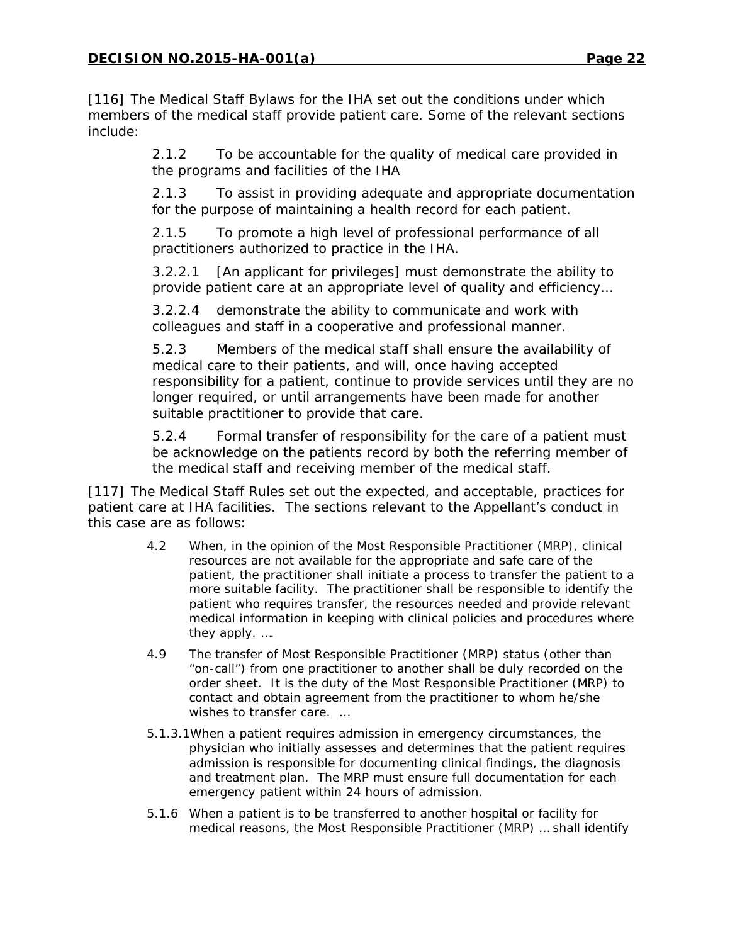[116] The Medical Staff Bylaws for the IHA set out the conditions under which members of the medical staff provide patient care. Some of the relevant sections include:

> 2.1.2 To be accountable for the quality of medical care provided in the programs and facilities of the IHA

2.1.3 To assist in providing adequate and appropriate documentation for the purpose of maintaining a health record for each patient.

2.1.5 To promote a high level of professional performance of all practitioners authorized to practice in the IHA.

3.2.2.1 [An applicant for privileges] must demonstrate the ability to provide patient care at an appropriate level of quality and efficiency…

3.2.2.4 demonstrate the ability to communicate and work with colleagues and staff in a cooperative and professional manner.

5.2.3 Members of the medical staff shall ensure the availability of medical care to their patients, and will, once having accepted responsibility for a patient, continue to provide services until they are no longer required, or until arrangements have been made for another suitable practitioner to provide that care.

5.2.4 Formal transfer of responsibility for the care of a patient must be acknowledge on the patients record by both the referring member of the medical staff and receiving member of the medical staff.

[117] The Medical Staff Rules set out the expected, and acceptable, practices for patient care at IHA facilities. The sections relevant to the Appellant's conduct in this case are as follows:

- 4.2 When, in the opinion of the Most Responsible Practitioner (MRP), clinical resources are not available for the appropriate and safe care of the patient, the practitioner shall initiate a process to transfer the patient to a more suitable facility. The practitioner shall be responsible to identify the patient who requires transfer, the resources needed and provide relevant medical information in keeping with clinical policies and procedures where they apply. ….
- 4.9 The transfer of Most Responsible Practitioner (MRP) status (other than "on-call") from one practitioner to another shall be duly recorded on the order sheet. It is the duty of the Most Responsible Practitioner (MRP) to contact and obtain agreement from the practitioner to whom he/she wishes to transfer care. …
- 5.1.3.1When a patient requires admission in emergency circumstances, the physician who initially assesses and determines that the patient requires admission is responsible for documenting clinical findings, the diagnosis and treatment plan. The MRP must ensure full documentation for each emergency patient within 24 hours of admission.
- 5.1.6 When a patient is to be transferred to another hospital or facility for medical reasons, the Most Responsible Practitioner (MRP) … shall identify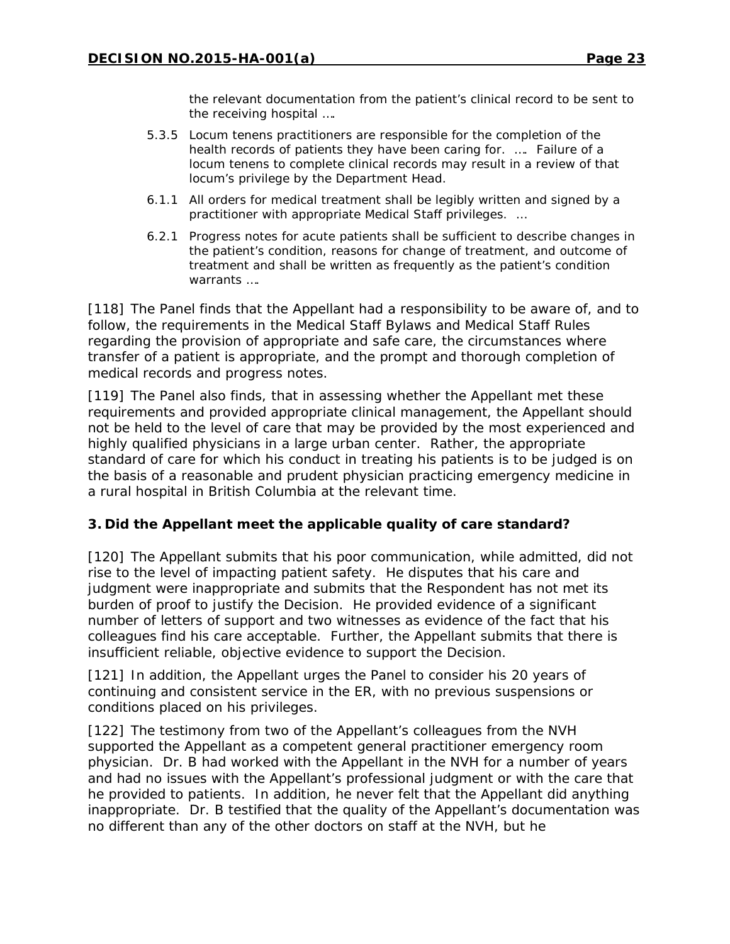the relevant documentation from the patient's clinical record to be sent to the receiving hospital ….

- 5.3.5 Locum tenens practitioners are responsible for the completion of the health records of patients they have been caring for. …. Failure of a locum tenens to complete clinical records may result in a review of that locum's privilege by the Department Head.
- 6.1.1 All orders for medical treatment shall be legibly written and signed by a practitioner with appropriate Medical Staff privileges. …
- 6.2.1 Progress notes for acute patients shall be sufficient to describe changes in the patient's condition, reasons for change of treatment, and outcome of treatment and shall be written as frequently as the patient's condition warrants ….

[118] The Panel finds that the Appellant had a responsibility to be aware of, and to follow, the requirements in the Medical Staff Bylaws and Medical Staff Rules regarding the provision of appropriate and safe care, the circumstances where transfer of a patient is appropriate, and the prompt and thorough completion of medical records and progress notes.

[119] The Panel also finds, that in assessing whether the Appellant met these requirements and provided appropriate clinical management, the Appellant should not be held to the level of care that may be provided by the most experienced and highly qualified physicians in a large urban center. Rather, the appropriate standard of care for which his conduct in treating his patients is to be judged is on the basis of a reasonable and prudent physician practicing emergency medicine in a rural hospital in British Columbia at the relevant time.

## **3. Did the Appellant meet the applicable quality of care standard?**

[120] The Appellant submits that his poor communication, while admitted, did not rise to the level of impacting patient safety. He disputes that his care and judgment were inappropriate and submits that the Respondent has not met its burden of proof to justify the Decision. He provided evidence of a significant number of letters of support and two witnesses as evidence of the fact that his colleagues find his care acceptable. Further, the Appellant submits that there is insufficient reliable, objective evidence to support the Decision.

[121] In addition, the Appellant urges the Panel to consider his 20 years of continuing and consistent service in the ER, with no previous suspensions or conditions placed on his privileges.

[122] The testimony from two of the Appellant's colleagues from the NVH supported the Appellant as a competent general practitioner emergency room physician. Dr. B had worked with the Appellant in the NVH for a number of years and had no issues with the Appellant's professional judgment or with the care that he provided to patients. In addition, he never felt that the Appellant did anything inappropriate. Dr. B testified that the quality of the Appellant's documentation was no different than any of the other doctors on staff at the NVH, but he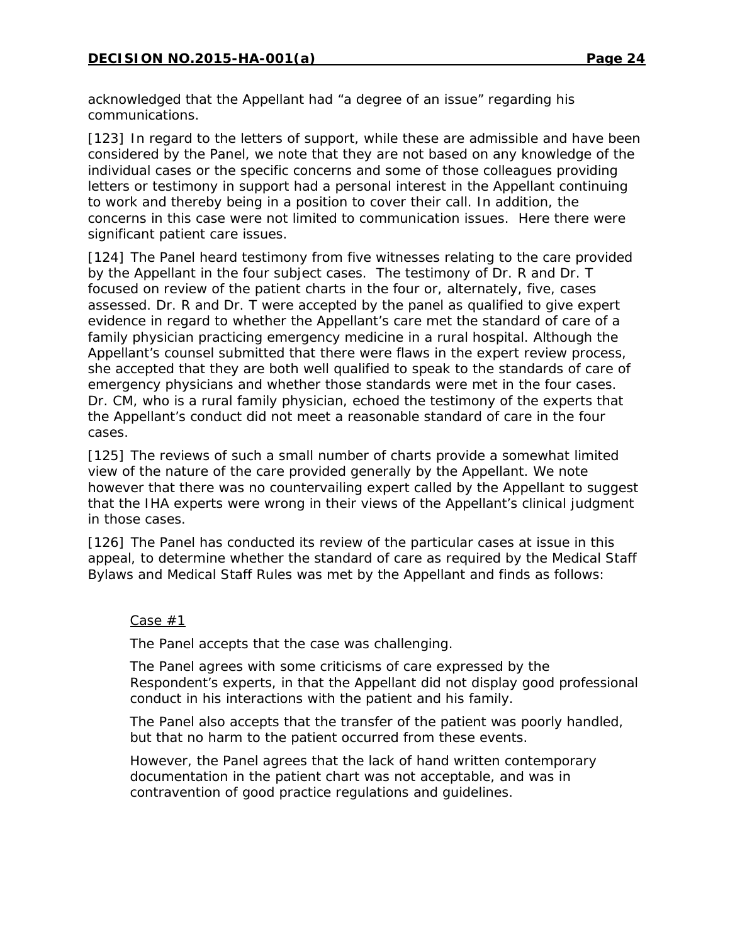acknowledged that the Appellant had "a degree of an issue" regarding his communications.

[123] In regard to the letters of support, while these are admissible and have been considered by the Panel, we note that they are not based on any knowledge of the individual cases or the specific concerns and some of those colleagues providing letters or testimony in support had a personal interest in the Appellant continuing to work and thereby being in a position to cover their call. In addition, the concerns in this case were not limited to communication issues. Here there were significant patient care issues.

[124] The Panel heard testimony from five witnesses relating to the care provided by the Appellant in the four subject cases. The testimony of Dr. R and Dr. T focused on review of the patient charts in the four or, alternately, five, cases assessed. Dr. R and Dr. T were accepted by the panel as qualified to give expert evidence in regard to whether the Appellant's care met the standard of care of a family physician practicing emergency medicine in a rural hospital. Although the Appellant's counsel submitted that there were flaws in the expert review process, she accepted that they are both well qualified to speak to the standards of care of emergency physicians and whether those standards were met in the four cases. Dr. CM, who is a rural family physician, echoed the testimony of the experts that the Appellant's conduct did not meet a reasonable standard of care in the four cases.

[125] The reviews of such a small number of charts provide a somewhat limited view of the nature of the care provided generally by the Appellant. We note however that there was no countervailing expert called by the Appellant to suggest that the IHA experts were wrong in their views of the Appellant's clinical judgment in those cases.

[126] The Panel has conducted its review of the particular cases at issue in this appeal, to determine whether the standard of care as required by the Medical Staff Bylaws and Medical Staff Rules was met by the Appellant and finds as follows:

#### Case #1

The Panel accepts that the case was challenging.

The Panel agrees with some criticisms of care expressed by the Respondent's experts, in that the Appellant did not display good professional conduct in his interactions with the patient and his family.

The Panel also accepts that the transfer of the patient was poorly handled, but that no harm to the patient occurred from these events.

However, the Panel agrees that the lack of hand written contemporary documentation in the patient chart was not acceptable, and was in contravention of good practice regulations and guidelines.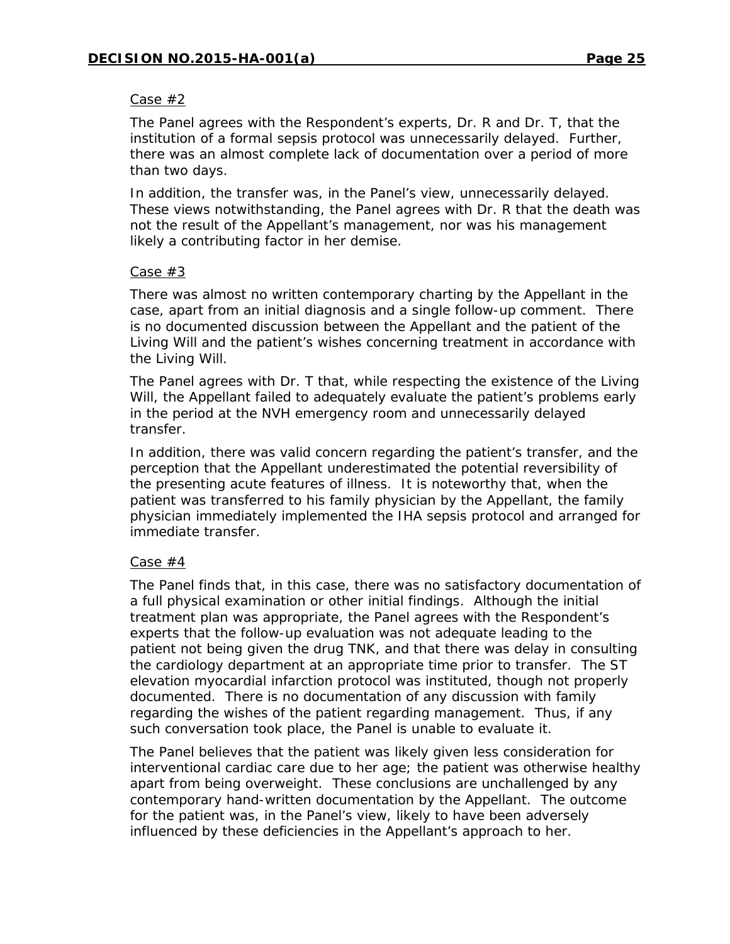#### Case #2

The Panel agrees with the Respondent's experts, Dr. R and Dr. T, that the institution of a formal sepsis protocol was unnecessarily delayed. Further, there was an almost complete lack of documentation over a period of more than two days.

In addition, the transfer was, in the Panel's view, unnecessarily delayed. These views notwithstanding, the Panel agrees with Dr. R that the death was not the result of the Appellant's management, nor was his management likely a contributing factor in her demise.

#### Case #3

There was almost no written contemporary charting by the Appellant in the case, apart from an initial diagnosis and a single follow-up comment. There is no documented discussion between the Appellant and the patient of the Living Will and the patient's wishes concerning treatment in accordance with the Living Will.

The Panel agrees with Dr. T that, while respecting the existence of the Living Will, the Appellant failed to adequately evaluate the patient's problems early in the period at the NVH emergency room and unnecessarily delayed transfer.

In addition, there was valid concern regarding the patient's transfer, and the perception that the Appellant underestimated the potential reversibility of the presenting acute features of illness. It is noteworthy that, when the patient was transferred to his family physician by the Appellant, the family physician immediately implemented the IHA sepsis protocol and arranged for immediate transfer.

#### Case #4

The Panel finds that, in this case, there was no satisfactory documentation of a full physical examination or other initial findings. Although the initial treatment plan was appropriate, the Panel agrees with the Respondent's experts that the follow-up evaluation was not adequate leading to the patient not being given the drug TNK, and that there was delay in consulting the cardiology department at an appropriate time prior to transfer. The ST elevation myocardial infarction protocol was instituted, though not properly documented. There is no documentation of any discussion with family regarding the wishes of the patient regarding management. Thus, if any such conversation took place, the Panel is unable to evaluate it.

The Panel believes that the patient was likely given less consideration for interventional cardiac care due to her age; the patient was otherwise healthy apart from being overweight. These conclusions are unchallenged by any contemporary hand-written documentation by the Appellant. The outcome for the patient was, in the Panel's view, likely to have been adversely influenced by these deficiencies in the Appellant's approach to her.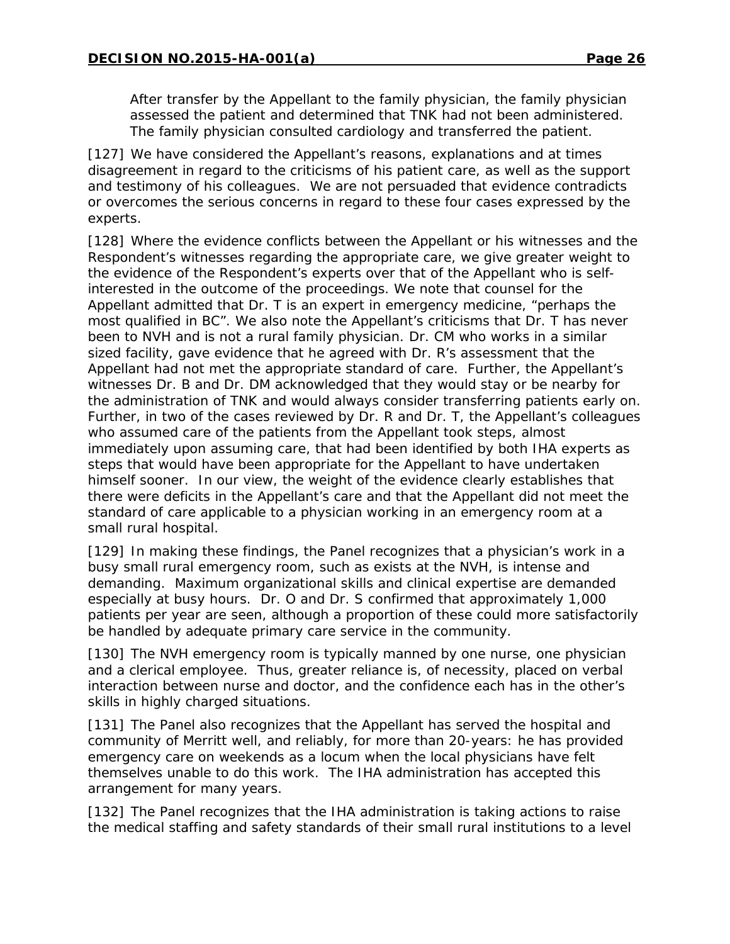After transfer by the Appellant to the family physician, the family physician assessed the patient and determined that TNK had not been administered. The family physician consulted cardiology and transferred the patient.

[127] We have considered the Appellant's reasons, explanations and at times disagreement in regard to the criticisms of his patient care, as well as the support and testimony of his colleagues. We are not persuaded that evidence contradicts or overcomes the serious concerns in regard to these four cases expressed by the experts.

[128] Where the evidence conflicts between the Appellant or his witnesses and the Respondent's witnesses regarding the appropriate care, we give greater weight to the evidence of the Respondent's experts over that of the Appellant who is selfinterested in the outcome of the proceedings. We note that counsel for the Appellant admitted that Dr. T is an expert in emergency medicine, "perhaps the most qualified in BC". We also note the Appellant's criticisms that Dr. T has never been to NVH and is not a rural family physician. Dr. CM who works in a similar sized facility, gave evidence that he agreed with Dr. R's assessment that the Appellant had not met the appropriate standard of care. Further, the Appellant's witnesses Dr. B and Dr. DM acknowledged that they would stay or be nearby for the administration of TNK and would always consider transferring patients early on. Further, in two of the cases reviewed by Dr. R and Dr. T, the Appellant's colleagues who assumed care of the patients from the Appellant took steps, almost immediately upon assuming care, that had been identified by both IHA experts as steps that would have been appropriate for the Appellant to have undertaken himself sooner. In our view, the weight of the evidence clearly establishes that there were deficits in the Appellant's care and that the Appellant did not meet the standard of care applicable to a physician working in an emergency room at a small rural hospital.

[129] In making these findings, the Panel recognizes that a physician's work in a busy small rural emergency room, such as exists at the NVH, is intense and demanding. Maximum organizational skills and clinical expertise are demanded especially at busy hours. Dr. O and Dr. S confirmed that approximately 1,000 patients per year are seen, although a proportion of these could more satisfactorily be handled by adequate primary care service in the community.

[130] The NVH emergency room is typically manned by one nurse, one physician and a clerical employee. Thus, greater reliance is, of necessity, placed on verbal interaction between nurse and doctor, and the confidence each has in the other's skills in highly charged situations.

[131] The Panel also recognizes that the Appellant has served the hospital and community of Merritt well, and reliably, for more than 20-years: he has provided emergency care on weekends as a locum when the local physicians have felt themselves unable to do this work. The IHA administration has accepted this arrangement for many years.

[132] The Panel recognizes that the IHA administration is taking actions to raise the medical staffing and safety standards of their small rural institutions to a level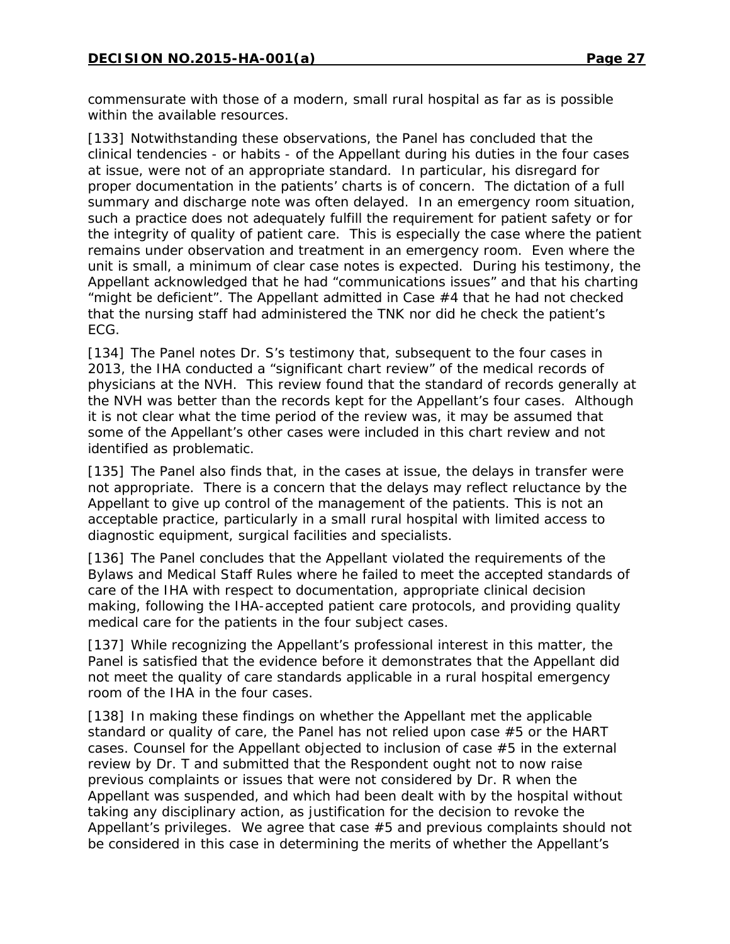commensurate with those of a modern, small rural hospital as far as is possible within the available resources.

[133] Notwithstanding these observations, the Panel has concluded that the clinical tendencies - or habits - of the Appellant during his duties in the four cases at issue, were not of an appropriate standard. In particular, his disregard for proper documentation in the patients' charts is of concern. The dictation of a full summary and discharge note was often delayed. In an emergency room situation, such a practice does not adequately fulfill the requirement for patient safety or for the integrity of quality of patient care. This is especially the case where the patient remains under observation and treatment in an emergency room. Even where the unit is small, a minimum of clear case notes is expected. During his testimony, the Appellant acknowledged that he had "communications issues" and that his charting "might be deficient". The Appellant admitted in Case #4 that he had not checked that the nursing staff had administered the TNK nor did he check the patient's ECG.

[134] The Panel notes Dr. S's testimony that, subsequent to the four cases in 2013, the IHA conducted a "significant chart review" of the medical records of physicians at the NVH. This review found that the standard of records generally at the NVH was better than the records kept for the Appellant's four cases. Although it is not clear what the time period of the review was, it may be assumed that some of the Appellant's other cases were included in this chart review and not identified as problematic.

[135] The Panel also finds that, in the cases at issue, the delays in transfer were not appropriate. There is a concern that the delays may reflect reluctance by the Appellant to give up control of the management of the patients. This is not an acceptable practice, particularly in a small rural hospital with limited access to diagnostic equipment, surgical facilities and specialists.

[136] The Panel concludes that the Appellant violated the requirements of the Bylaws and Medical Staff Rules where he failed to meet the accepted standards of care of the IHA with respect to documentation, appropriate clinical decision making, following the IHA-accepted patient care protocols, and providing quality medical care for the patients in the four subject cases.

[137] While recognizing the Appellant's professional interest in this matter, the Panel is satisfied that the evidence before it demonstrates that the Appellant did not meet the quality of care standards applicable in a rural hospital emergency room of the IHA in the four cases.

[138] In making these findings on whether the Appellant met the applicable standard or quality of care, the Panel has not relied upon case #5 or the HART cases. Counsel for the Appellant objected to inclusion of case #5 in the external review by Dr. T and submitted that the Respondent ought not to now raise previous complaints or issues that were not considered by Dr. R when the Appellant was suspended, and which had been dealt with by the hospital without taking any disciplinary action, as justification for the decision to revoke the Appellant's privileges. We agree that case #5 and previous complaints should not be considered in this case in determining the merits of whether the Appellant's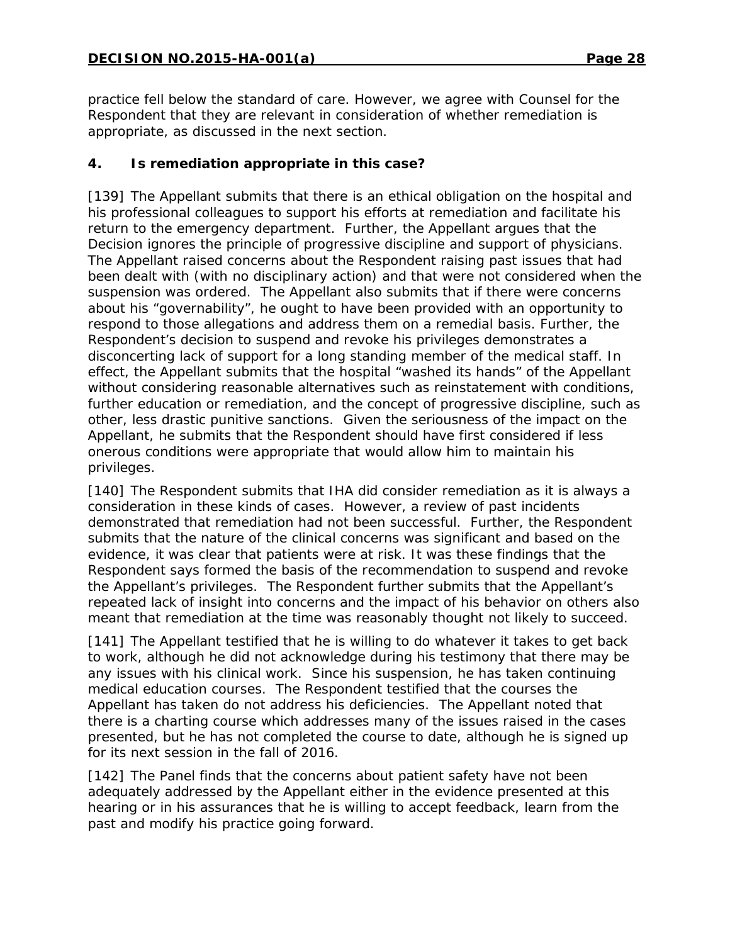practice fell below the standard of care. However, we agree with Counsel for the Respondent that they are relevant in consideration of whether remediation is appropriate, as discussed in the next section.

## **4. Is remediation appropriate in this case?**

[139] The Appellant submits that there is an ethical obligation on the hospital and his professional colleagues to support his efforts at remediation and facilitate his return to the emergency department. Further, the Appellant argues that the Decision ignores the principle of progressive discipline and support of physicians. The Appellant raised concerns about the Respondent raising past issues that had been dealt with (with no disciplinary action) and that were not considered when the suspension was ordered. The Appellant also submits that if there were concerns about his "governability", he ought to have been provided with an opportunity to respond to those allegations and address them on a remedial basis. Further, the Respondent's decision to suspend and revoke his privileges demonstrates a disconcerting lack of support for a long standing member of the medical staff. In effect, the Appellant submits that the hospital "washed its hands" of the Appellant without considering reasonable alternatives such as reinstatement with conditions, further education or remediation, and the concept of progressive discipline, such as other, less drastic punitive sanctions. Given the seriousness of the impact on the Appellant, he submits that the Respondent should have first considered if less onerous conditions were appropriate that would allow him to maintain his privileges.

[140] The Respondent submits that IHA did consider remediation as it is always a consideration in these kinds of cases. However, a review of past incidents demonstrated that remediation had not been successful. Further, the Respondent submits that the nature of the clinical concerns was significant and based on the evidence, it was clear that patients were at risk. It was these findings that the Respondent says formed the basis of the recommendation to suspend and revoke the Appellant's privileges. The Respondent further submits that the Appellant's repeated lack of insight into concerns and the impact of his behavior on others also meant that remediation at the time was reasonably thought not likely to succeed.

[141] The Appellant testified that he is willing to do whatever it takes to get back to work, although he did not acknowledge during his testimony that there may be any issues with his clinical work. Since his suspension, he has taken continuing medical education courses. The Respondent testified that the courses the Appellant has taken do not address his deficiencies. The Appellant noted that there is a charting course which addresses many of the issues raised in the cases presented, but he has not completed the course to date, although he is signed up for its next session in the fall of 2016.

[142] The Panel finds that the concerns about patient safety have not been adequately addressed by the Appellant either in the evidence presented at this hearing or in his assurances that he is willing to accept feedback, learn from the past and modify his practice going forward.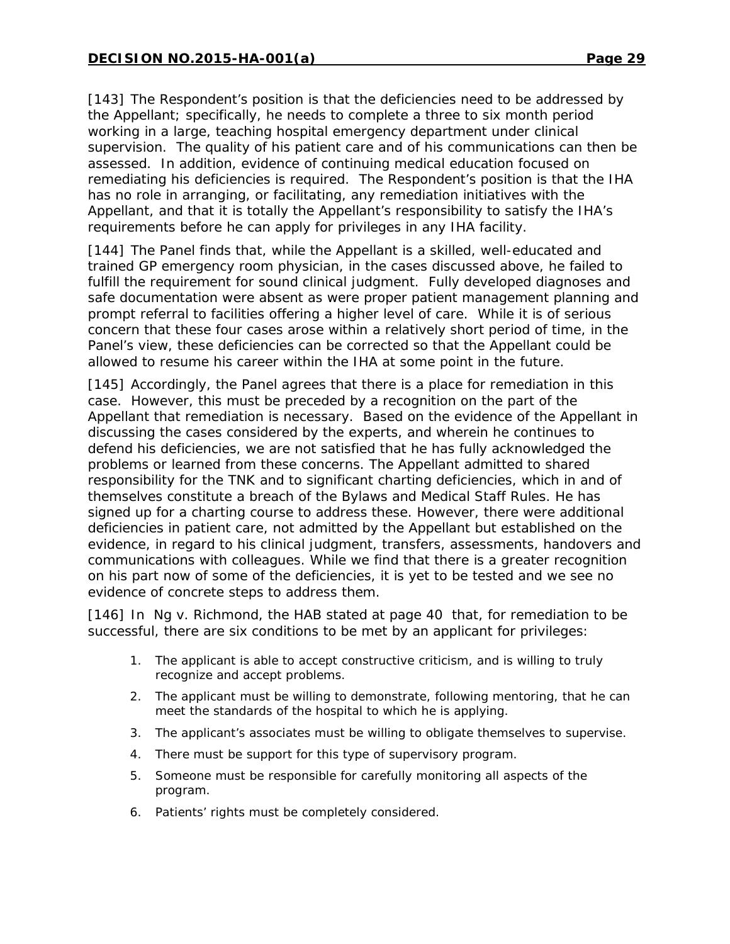[143] The Respondent's position is that the deficiencies need to be addressed by the Appellant; specifically, he needs to complete a three to six month period working in a large, teaching hospital emergency department under clinical supervision. The quality of his patient care and of his communications can then be assessed. In addition, evidence of continuing medical education focused on remediating his deficiencies is required. The Respondent's position is that the IHA has no role in arranging, or facilitating, any remediation initiatives with the Appellant, and that it is totally the Appellant's responsibility to satisfy the IHA's requirements before he can apply for privileges in any IHA facility.

[144] The Panel finds that, while the Appellant is a skilled, well-educated and trained GP emergency room physician, in the cases discussed above, he failed to fulfill the requirement for sound clinical judgment. Fully developed diagnoses and safe documentation were absent as were proper patient management planning and prompt referral to facilities offering a higher level of care. While it is of serious concern that these four cases arose within a relatively short period of time, in the Panel's view, these deficiencies can be corrected so that the Appellant could be allowed to resume his career within the IHA at some point in the future.

[145] Accordingly, the Panel agrees that there is a place for remediation in this case. However, this must be preceded by a recognition on the part of the Appellant that remediation is necessary. Based on the evidence of the Appellant in discussing the cases considered by the experts, and wherein he continues to defend his deficiencies, we are not satisfied that he has fully acknowledged the problems or learned from these concerns. The Appellant admitted to shared responsibility for the TNK and to significant charting deficiencies, which in and of themselves constitute a breach of the Bylaws and Medical Staff Rules. He has signed up for a charting course to address these. However, there were additional deficiencies in patient care, not admitted by the Appellant but established on the evidence, in regard to his clinical judgment, transfers, assessments, handovers and communications with colleagues. While we find that there is a greater recognition on his part now of some of the deficiencies, it is yet to be tested and we see no evidence of concrete steps to address them.

[146] In *Ng v. Richmond*, the HAB stated at page 40 that, for remediation to be successful, there are six conditions to be met by an applicant for privileges:

- 1. The applicant is able to accept constructive criticism, and is willing to truly recognize and accept problems.
- 2. The applicant must be willing to demonstrate, following mentoring, that he can meet the standards of the hospital to which he is applying.
- 3. The applicant's associates must be willing to obligate themselves to supervise.
- 4. There must be support for this type of supervisory program.
- 5. Someone must be responsible for carefully monitoring all aspects of the program.
- 6. Patients' rights must be completely considered.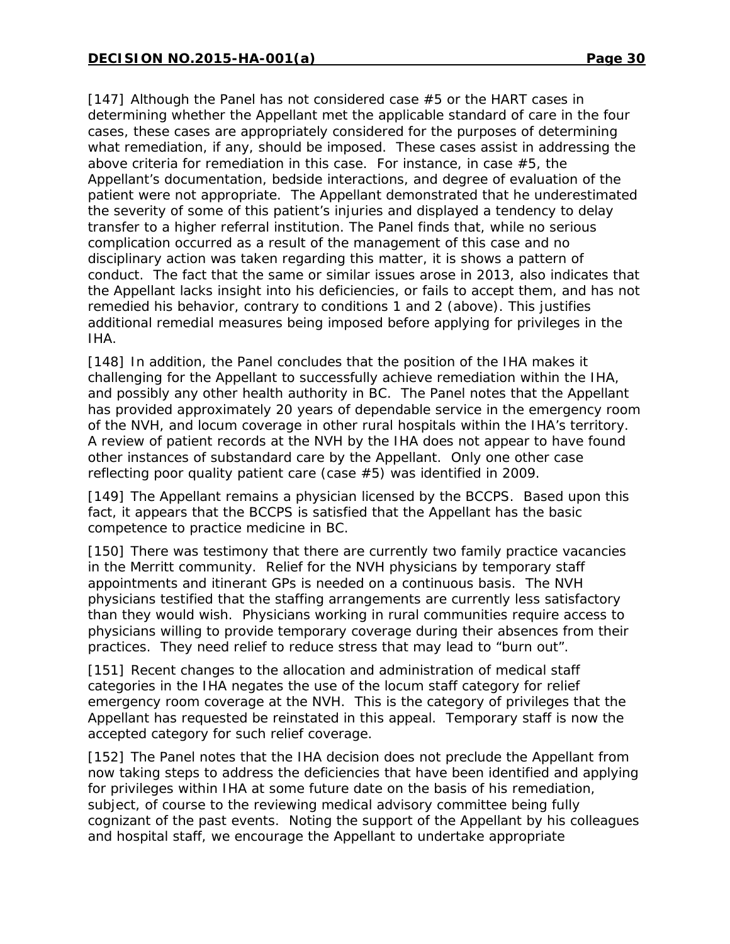[147] Although the Panel has not considered case #5 or the HART cases in determining whether the Appellant met the applicable standard of care in the four cases, these cases are appropriately considered for the purposes of determining what remediation, if any, should be imposed. These cases assist in addressing the above criteria for remediation in this case. For instance, in case #5, the Appellant's documentation, bedside interactions, and degree of evaluation of the patient were not appropriate. The Appellant demonstrated that he underestimated the severity of some of this patient's injuries and displayed a tendency to delay transfer to a higher referral institution. The Panel finds that, while no serious complication occurred as a result of the management of this case and no disciplinary action was taken regarding this matter, it is shows a pattern of conduct. The fact that the same or similar issues arose in 2013, also indicates that the Appellant lacks insight into his deficiencies, or fails to accept them, and has not remedied his behavior, contrary to conditions 1 and 2 (above). This justifies additional remedial measures being imposed before applying for privileges in the IHA.

[148] In addition, the Panel concludes that the position of the IHA makes it challenging for the Appellant to successfully achieve remediation within the IHA, and possibly any other health authority in BC. The Panel notes that the Appellant has provided approximately 20 years of dependable service in the emergency room of the NVH, and locum coverage in other rural hospitals within the IHA's territory. A review of patient records at the NVH by the IHA does not appear to have found other instances of substandard care by the Appellant. Only one other case reflecting poor quality patient care (case #5) was identified in 2009.

[149] The Appellant remains a physician licensed by the BCCPS. Based upon this fact, it appears that the BCCPS is satisfied that the Appellant has the basic competence to practice medicine in BC.

[150] There was testimony that there are currently two family practice vacancies in the Merritt community. Relief for the NVH physicians by temporary staff appointments and itinerant GPs is needed on a continuous basis. The NVH physicians testified that the staffing arrangements are currently less satisfactory than they would wish. Physicians working in rural communities require access to physicians willing to provide temporary coverage during their absences from their practices. They need relief to reduce stress that may lead to "burn out".

[151] Recent changes to the allocation and administration of medical staff categories in the IHA negates the use of the locum staff category for relief emergency room coverage at the NVH. This is the category of privileges that the Appellant has requested be reinstated in this appeal. Temporary staff is now the accepted category for such relief coverage.

[152] The Panel notes that the IHA decision does not preclude the Appellant from now taking steps to address the deficiencies that have been identified and applying for privileges within IHA at some future date on the basis of his remediation, subject, of course to the reviewing medical advisory committee being fully cognizant of the past events. Noting the support of the Appellant by his colleagues and hospital staff, we encourage the Appellant to undertake appropriate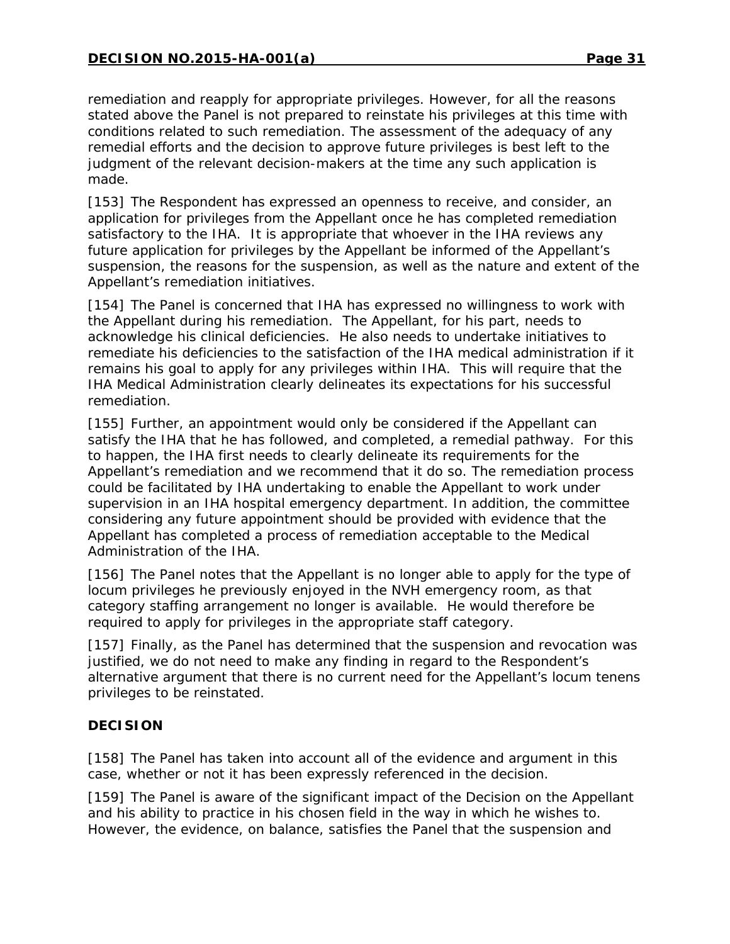remediation and reapply for appropriate privileges. However, for all the reasons stated above the Panel is not prepared to reinstate his privileges at this time with conditions related to such remediation. The assessment of the adequacy of any remedial efforts and the decision to approve future privileges is best left to the judgment of the relevant decision-makers at the time any such application is made.

[153] The Respondent has expressed an openness to receive, and consider, an application for privileges from the Appellant once he has completed remediation satisfactory to the IHA. It is appropriate that whoever in the IHA reviews any future application for privileges by the Appellant be informed of the Appellant's suspension, the reasons for the suspension, as well as the nature and extent of the Appellant's remediation initiatives.

[154] The Panel is concerned that IHA has expressed no willingness to work with the Appellant during his remediation. The Appellant, for his part, needs to acknowledge his clinical deficiencies. He also needs to undertake initiatives to remediate his deficiencies to the satisfaction of the IHA medical administration if it remains his goal to apply for any privileges within IHA. This will require that the IHA Medical Administration clearly delineates its expectations for his successful remediation.

[155] Further, an appointment would only be considered if the Appellant can satisfy the IHA that he has followed, and completed, a remedial pathway. For this to happen, the IHA first needs to clearly delineate its requirements for the Appellant's remediation and we recommend that it do so. The remediation process could be facilitated by IHA undertaking to enable the Appellant to work under supervision in an IHA hospital emergency department. In addition, the committee considering any future appointment should be provided with evidence that the Appellant has completed a process of remediation acceptable to the Medical Administration of the IHA.

[156] The Panel notes that the Appellant is no longer able to apply for the type of locum privileges he previously enjoyed in the NVH emergency room, as that category staffing arrangement no longer is available. He would therefore be required to apply for privileges in the appropriate staff category.

[157] Finally, as the Panel has determined that the suspension and revocation was justified, we do not need to make any finding in regard to the Respondent's alternative argument that there is no current need for the Appellant's locum tenens privileges to be reinstated.

## **DECISION**

[158] The Panel has taken into account all of the evidence and argument in this case, whether or not it has been expressly referenced in the decision.

[159] The Panel is aware of the significant impact of the Decision on the Appellant and his ability to practice in his chosen field in the way in which he wishes to. However, the evidence, on balance, satisfies the Panel that the suspension and